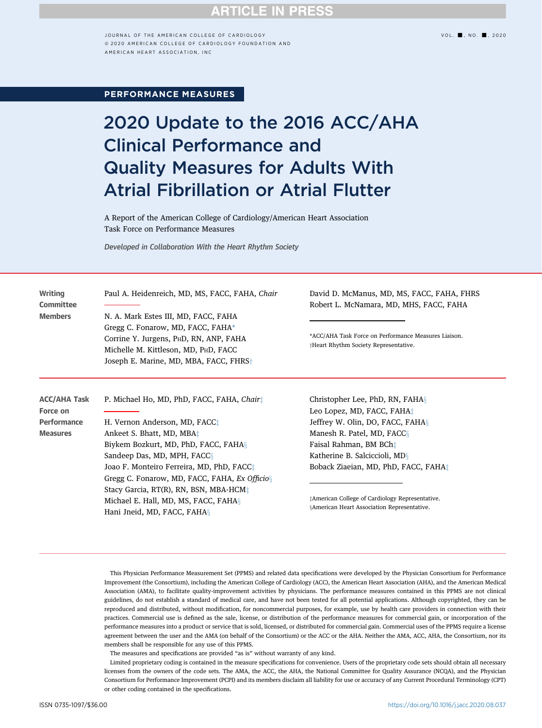JOURNAL OF THE AMERICAN COLLEGE OF CARDIOLOGY VOL. -, NO. -, 2020 ª 2020 AMERICAN COLLEGE OF CARDIOLOGY FOUNDATION AND AMERICAN HEART ASSOCIATION, INC

### PERFORMANCE MEASURES

# 2020 Update to the 2016 ACC/AHA Clinical Performance and Quality Measures for Adults With Atrial Fibrillation or Atrial Flutter

A Report of the American College of Cardiology/American Heart Association Task Force on Performance Measures

Developed in Collaboration With the Heart Rhythm Society

| Writing<br>Committee<br><b>Members</b> | Paul A. Heidenreich, MD, MS, FACC, FAHA, Chair<br>N. A. Mark Estes III, MD, FACC, FAHA<br>Gregg C. Fonarow, MD, FACC, FAHA*<br>Corrine Y. Jurgens, PHD, RN, ANP, FAHA<br>Michelle M. Kittleson, MD, PHD, FACC<br>Joseph E. Marine, MD, MBA, FACC, FHRS | David D. McManus, MD, MS, FACC, FAHA, FHRS<br>Robert L. McNamara, MD, MHS, FACC, FAHA<br>*ACC/AHA Task Force on Performance Measures Liaison.<br>†Heart Rhythm Society Representative. |  |  |  |
|----------------------------------------|--------------------------------------------------------------------------------------------------------------------------------------------------------------------------------------------------------------------------------------------------------|----------------------------------------------------------------------------------------------------------------------------------------------------------------------------------------|--|--|--|
|                                        |                                                                                                                                                                                                                                                        |                                                                                                                                                                                        |  |  |  |
| <b>ACC/AHA Task</b>                    | P. Michael Ho, MD, PhD, FACC, FAHA, Chairt                                                                                                                                                                                                             | Christopher Lee, PhD, RN, FAHA§                                                                                                                                                        |  |  |  |
| Force on                               |                                                                                                                                                                                                                                                        | Leo Lopez, MD, FACC, FAHA‡                                                                                                                                                             |  |  |  |
| Performance                            | H. Vernon Anderson, MD, FACC <sup>+</sup>                                                                                                                                                                                                              | Jeffrey W. Olin, DO, FACC, FAHA&                                                                                                                                                       |  |  |  |
| <b>Measures</b>                        | Ankeet S. Bhatt, MD, MBA <sup>+</sup>                                                                                                                                                                                                                  | Manesh R. Patel, MD, FACCS                                                                                                                                                             |  |  |  |
|                                        | Biykem Bozkurt, MD, PhD, FACC, FAHA§                                                                                                                                                                                                                   | Faisal Rahman, BM BCh <sup>+</sup>                                                                                                                                                     |  |  |  |
|                                        | Sandeep Das, MD, MPH, FACC§                                                                                                                                                                                                                            | Katherine B. Salciccioli, MD§                                                                                                                                                          |  |  |  |
|                                        | Joao F. Monteiro Ferreira, MD, PhD, FACC:                                                                                                                                                                                                              | Boback Ziaeian, MD, PhD, FACC, FAHAt                                                                                                                                                   |  |  |  |
|                                        | Gregg C. Fonarow, MD, FACC, FAHA, Ex Officios                                                                                                                                                                                                          |                                                                                                                                                                                        |  |  |  |
|                                        | Stacy Garcia, RT(R), RN, BSN, MBA-HCM <sup>+</sup>                                                                                                                                                                                                     |                                                                                                                                                                                        |  |  |  |
|                                        | Michael E. Hall, MD, MS, FACC, FAHA§                                                                                                                                                                                                                   | #American College of Cardiology Representative.                                                                                                                                        |  |  |  |
|                                        | Hani Jneid, MD, FACC, FAHA&                                                                                                                                                                                                                            | §American Heart Association Representative.                                                                                                                                            |  |  |  |
|                                        |                                                                                                                                                                                                                                                        |                                                                                                                                                                                        |  |  |  |

This Physician Performance Measurement Set (PPMS) and related data specifications were developed by the Physician Consortium for Performance Improvement (the Consortium), including the American College of Cardiology (ACC), the American Heart Association (AHA), and the American Medical Association (AMA), to facilitate quality-improvement activities by physicians. The performance measures contained in this PPMS are not clinical guidelines, do not establish a standard of medical care, and have not been tested for all potential applications. Although copyrighted, they can be reproduced and distributed, without modification, for noncommercial purposes, for example, use by health care providers in connection with their practices. Commercial use is defined as the sale, license, or distribution of the performance measures for commercial gain, or incorporation of the performance measures into a product or service that is sold, licensed, or distributed for commercial gain. Commercial uses of the PPMS require a license agreement between the user and the AMA (on behalf of the Consortium) or the ACC or the AHA. Neither the AMA, ACC, AHA, the Consortium, nor its members shall be responsible for any use of this PPMS.

The measures and specifications are provided "as is" without warranty of any kind.

Limited proprietary coding is contained in the measure specifications for convenience. Users of the proprietary code sets should obtain all necessary licenses from the owners of the code sets. The AMA, the ACC, the AHA, the National Committee for Quality Assurance (NCQA), and the Physician Consortium for Performance Improvement (PCPI) and its members disclaim all liability for use or accuracy of any Current Procedural Terminology (CPT) or other coding contained in the specifications.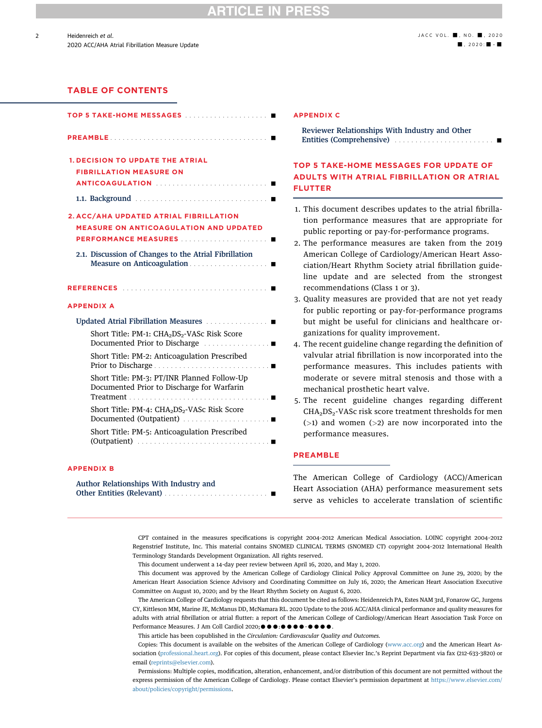### TABLE OF CONTENTS

| TOP 5 TAKE-HOME MESSAGES                                                                              |
|-------------------------------------------------------------------------------------------------------|
| <b>PREAMBLE</b>                                                                                       |
| <b>1. DECISION TO UPDATE THE ATRIAL</b><br><b>FIBRILLATION MEASURE ON</b><br>ANTICOAGULATION          |
|                                                                                                       |
| 2. ACC/AHA UPDATED ATRIAL FIBRILLATION<br><b>MEASURE ON ANTICOAGULATION AND UPDATED</b>               |
| 2.1. Discussion of Changes to the Atrial Fibrillation                                                 |
| <b>REFERENCES</b>                                                                                     |
| <b>APPENDIX A</b>                                                                                     |
| Updated Atrial Fibrillation Measures                                                                  |
| Short Title: PM-1: CHA <sub>2</sub> DS <sub>2</sub> -VASc Risk Score<br>Documented Prior to Discharge |
| Short Title: PM-2: Anticoagulation Prescribed                                                         |
| Short Title: PM-3: PT/INR Planned Follow-Up<br>Documented Prior to Discharge for Warfarin             |
| Short Title: PM-4: CHA <sub>2</sub> DS <sub>2</sub> -VASc Risk Score                                  |
| Short Title: PM-5: Anticoagulation Prescribed                                                         |

### APPENDIX B

| Author Relationships With Industry and |  |
|----------------------------------------|--|
|                                        |  |

#### APPENDIX C

Reviewer Relationships With Industry and Other Entities (Comprehensive) ........................ -

### TOP 5 TAKE-HOME MESSAGES FOR UPDATE OF ADULTS WITH ATRIAL FIBRILLATION OR ATRIAL FLUTTER

- 1. This document describes updates to the atrial fibrillation performance measures that are appropriate for public reporting or pay-for-performance programs.
- 2. The performance measures are taken from the 2019 American College of Cardiology/American Heart Association/Heart Rhythm Society atrial fibrillation guideline update and are selected from the strongest recommendations (Class 1 or 3).
- 3. Quality measures are provided that are not yet ready for public reporting or pay-for-performance programs but might be useful for clinicians and healthcare organizations for quality improvement.
- 4. The recent guideline change regarding the definition of valvular atrial fibrillation is now incorporated into the performance measures. This includes patients with moderate or severe mitral stenosis and those with a mechanical prosthetic heart valve.
- 5. The recent guideline changes regarding different  $CHA<sub>2</sub>DS<sub>2</sub> - VASC risk score treatment thresholds for men$  $(>1)$  and women  $(>2)$  are now incorporated into the performance measures.

### PREAMBLE

The American College of Cardiology (ACC)/American Heart Association (AHA) performance measurement sets serve as vehicles to accelerate translation of scientific

CPT contained in the measures specifications is copyright 2004–2012 American Medical Association. LOINC copyright 2004–2012 Regenstrief Institute, Inc. This material contains SNOMED CLINICAL TERMS (SNOMED CT) copyright 2004–2012 International Health Terminology Standards Development Organization. All rights reserved.

This document underwent a 14-day peer review between April 16, 2020, and May 1, 2020.

This document was approved by the American College of Cardiology Clinical Policy Approval Committee on June 29, 2020; by the American Heart Association Science Advisory and Coordinating Committee on July 16, 2020; the American Heart Association Executive Committee on August 10, 2020; and by the Heart Rhythm Society on August 6, 2020.

The American College of Cardiology requests that this document be cited as follows: Heidenreich PA, Estes NAM 3rd, Fonarow GC, Jurgens CY, Kittleson MM, Marine JE, McManus DD, McNamara RL. 2020 Update to the 2016 ACC/AHA clinical performance and quality measures for adults with atrial fibrillation or atrial flutter: a report of the American College of Cardiology/American Heart Association Task Force on Performance Measures. J Am Coll Cardiol 2020;  $\bullet \bullet \bullet \bullet \bullet \bullet \bullet \bullet \bullet \bullet$ 

This article has been copublished in the Circulation: Cardiovascular Quality and Outcomes.

Copies: This document is available on the websites of the American College of Cardiology [\(www.acc.org\)](http://www.acc.org) and the American Heart Association [\(professional.heart.org](http://professional.heart.org)). For copies of this document, please contact Elsevier Inc.'s Reprint Department via fax (212-633-3820) or email ([reprints@elsevier.com](mailto:reprints@elsevier.com)).

Permissions: Multiple copies, modification, alteration, enhancement, and/or distribution of this document are not permitted without the express permission of the American College of Cardiology. Please contact Elsevier's permission department at [https://www.elsevier.com/](https://www.elsevier.com/about/policies/copyright/permissions) [about/policies/copyright/permissions](https://www.elsevier.com/about/policies/copyright/permissions).

 $\overline{2}$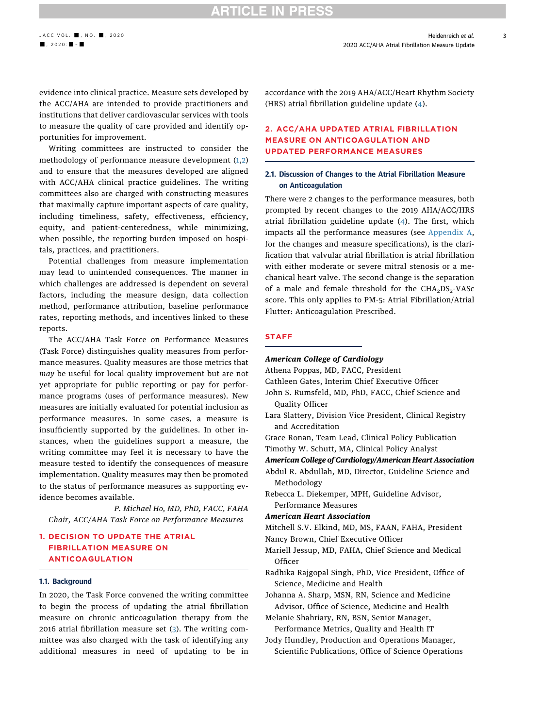## **RTICLE IN PRESS**

evidence into clinical practice. Measure sets developed by the ACC/AHA are intended to provide practitioners and institutions that deliver cardiovascular services with tools to measure the quality of care provided and identify opportunities for improvement.

Writing committees are instructed to consider the methodology of performance measure development  $(1,2)$  $(1,2)$  $(1,2)$  $(1,2)$ and to ensure that the measures developed are aligned with ACC/AHA clinical practice guidelines. The writing committees also are charged with constructing measures that maximally capture important aspects of care quality, including timeliness, safety, effectiveness, efficiency, equity, and patient-centeredness, while minimizing, when possible, the reporting burden imposed on hospitals, practices, and practitioners.

Potential challenges from measure implementation may lead to unintended consequences. The manner in which challenges are addressed is dependent on several factors, including the measure design, data collection method, performance attribution, baseline performance rates, reporting methods, and incentives linked to these reports.

The ACC/AHA Task Force on Performance Measures (Task Force) distinguishes quality measures from performance measures. Quality measures are those metrics that may be useful for local quality improvement but are not yet appropriate for public reporting or pay for performance programs (uses of performance measures). New measures are initially evaluated for potential inclusion as performance measures. In some cases, a measure is insufficiently supported by the guidelines. In other instances, when the guidelines support a measure, the writing committee may feel it is necessary to have the measure tested to identify the consequences of measure implementation. Quality measures may then be promoted to the status of performance measures as supporting evidence becomes available.

P. Michael Ho, MD, PhD, FACC, FAHA Chair, ACC/AHA Task Force on Performance Measures

### 1. DECISION TO UPDATE THE ATRIAL FIBRILLATION MEASURE ON ANTICOAGULATION

### <span id="page-2-0"></span>1.1. Background

In 2020, the Task Force convened the writing committee to begin the process of updating the atrial fibrillation measure on chronic anticoagulation therapy from the 2016 atrial fibrillation measure set ([3](#page-3-2)). The writing committee was also charged with the task of identifying any additional measures in need of updating to be in

accordance with the 2019 AHA/ACC/Heart Rhythm Society (HRS) atrial fibrillation guideline update ([4](#page-3-3)).

## <span id="page-2-1"></span>2. ACC/AHA UPDATED ATRIAL FIBRILLATION MEASURE ON ANTICOAGULATION AND UPDATED PERFORMANCE MEASURES

### 2.1. Discussion of Changes to the Atrial Fibrillation Measure on Anticoagulation

There were 2 changes to the performance measures, both prompted by recent changes to the 2019 AHA/ACC/HRS atrial fibrillation guideline update ([4\)](#page-3-3). The first, which impacts all the performance measures (see [Appendix A,](#page-4-0) for the changes and measure specifications), is the clarification that valvular atrial fibrillation is atrial fibrillation with either moderate or severe mitral stenosis or a mechanical heart valve. The second change is the separation of a male and female threshold for the  $CHA<sub>2</sub>DS<sub>2</sub>-VASC$ score. This only applies to PM-5: Atrial Fibrillation/Atrial Flutter: Anticoagulation Prescribed.

### STAFF

### American College of Cardiology

Athena Poppas, MD, FACC, President

Cathleen Gates, Interim Chief Executive Officer

- John S. Rumsfeld, MD, PhD, FACC, Chief Science and Quality Officer
- Lara Slattery, Division Vice President, Clinical Registry and Accreditation

Grace Ronan, Team Lead, Clinical Policy Publication Timothy W. Schutt, MA, Clinical Policy Analyst

American College of Cardiology/American Heart Association

Abdul R. Abdullah, MD, Director, Guideline Science and Methodology

Rebecca L. Diekemper, MPH, Guideline Advisor, Performance Measures

#### American Heart Association

Mitchell S.V. Elkind, MD, MS, FAAN, FAHA, President Nancy Brown, Chief Executive Officer

Mariell Jessup, MD, FAHA, Chief Science and Medical **Officer** 

Radhika Rajgopal Singh, PhD, Vice President, Office of Science, Medicine and Health

Johanna A. Sharp, MSN, RN, Science and Medicine Advisor, Office of Science, Medicine and Health

Melanie Shahriary, RN, BSN, Senior Manager, Performance Metrics, Quality and Health IT

Jody Hundley, Production and Operations Manager, Scientific Publications, Office of Science Operations 3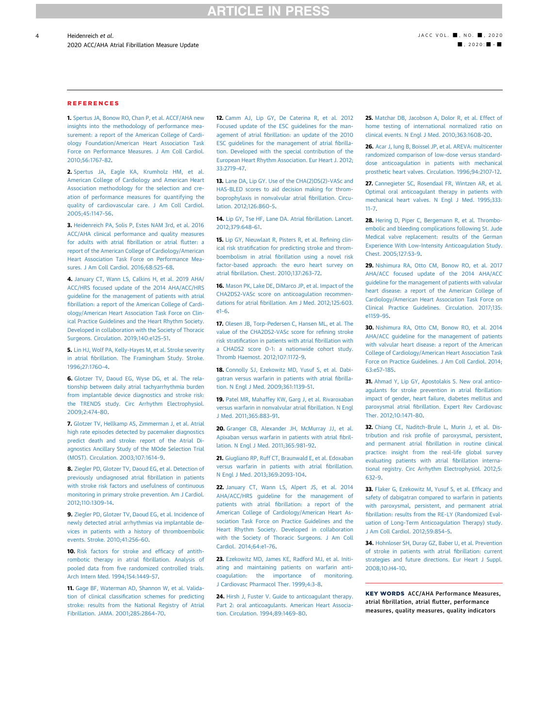## **RTICLE IN PRES**

#### REFERENCES

<span id="page-3-0"></span>1. [Spertus JA, Bonow RO, Chan P, et al. ACCF/AHA new](http://refhub.elsevier.com/S0735-1097(20)36400-7/sref1) [insights into the methodology of performance mea](http://refhub.elsevier.com/S0735-1097(20)36400-7/sref1)[surement: a report of the American College of Cardi](http://refhub.elsevier.com/S0735-1097(20)36400-7/sref1)[ology Foundation/American Heart Association Task](http://refhub.elsevier.com/S0735-1097(20)36400-7/sref1) [Force on Performance Measures. J Am Coll Cardiol.](http://refhub.elsevier.com/S0735-1097(20)36400-7/sref1) [2010;56:1767](http://refhub.elsevier.com/S0735-1097(20)36400-7/sref1)–82.

<span id="page-3-1"></span>2. [Spertus JA, Eagle KA, Krumholz HM, et al.](http://refhub.elsevier.com/S0735-1097(20)36400-7/sref2) [American College of Cardiology and American Heart](http://refhub.elsevier.com/S0735-1097(20)36400-7/sref2) [Association methodology for the selection and cre](http://refhub.elsevier.com/S0735-1097(20)36400-7/sref2)[ation of performance measures for quantifying the](http://refhub.elsevier.com/S0735-1097(20)36400-7/sref2) [quality of cardiovascular care. J Am Coll Cardiol.](http://refhub.elsevier.com/S0735-1097(20)36400-7/sref2) [2005;45:1147](http://refhub.elsevier.com/S0735-1097(20)36400-7/sref2)–56.

<span id="page-3-2"></span>3. [Heidenreich PA, Solis P, Estes NAM 3rd, et al. 2016](http://refhub.elsevier.com/S0735-1097(20)36400-7/sref3) [ACC/AHA clinical performance and quality measures](http://refhub.elsevier.com/S0735-1097(20)36400-7/sref3) [for adults with atrial](http://refhub.elsevier.com/S0735-1097(20)36400-7/sref3) fibrillation or atrial flutter: a [report of the American College of Cardiology/American](http://refhub.elsevier.com/S0735-1097(20)36400-7/sref3) [Heart Association Task Force on Performance Mea](http://refhub.elsevier.com/S0735-1097(20)36400-7/sref3)[sures. J Am Coll Cardiol. 2016;68:525](http://refhub.elsevier.com/S0735-1097(20)36400-7/sref3)–68.

<span id="page-3-3"></span>4. [January CT, Wann LS, Calkins H, et al. 2019 AHA/](http://refhub.elsevier.com/S0735-1097(20)36400-7/sref4) [ACC/HRS focused update of the 2014 AHA/ACC/HRS](http://refhub.elsevier.com/S0735-1097(20)36400-7/sref4) [guideline for the management of patients with atrial](http://refhub.elsevier.com/S0735-1097(20)36400-7/sref4) fi[brillation: a report of the American College of Cardi](http://refhub.elsevier.com/S0735-1097(20)36400-7/sref4)[ology/American Heart Association Task Force on Clin](http://refhub.elsevier.com/S0735-1097(20)36400-7/sref4)[ical Practice Guidelines and the Heart Rhythm Society.](http://refhub.elsevier.com/S0735-1097(20)36400-7/sref4) [Developed in collaboration with the Society of Thoracic](http://refhub.elsevier.com/S0735-1097(20)36400-7/sref4) [Surgeons. Circulation. 2019;140:e125](http://refhub.elsevier.com/S0735-1097(20)36400-7/sref4)–51.

<span id="page-3-4"></span>5. [Lin HJ, Wolf PA, Kelly-Hayes M, et al. Stroke severity](http://refhub.elsevier.com/S0735-1097(20)36400-7/sref5) in atrial fi[brillation. The Framingham Study. Stroke.](http://refhub.elsevier.com/S0735-1097(20)36400-7/sref5) [1996;27:1760](http://refhub.elsevier.com/S0735-1097(20)36400-7/sref5)–4.

<span id="page-3-5"></span>6. [Glotzer TV, Daoud EG, Wyse DG, et al. The rela](http://refhub.elsevier.com/S0735-1097(20)36400-7/sref6)[tionship between daily atrial tachyarrhythmia burden](http://refhub.elsevier.com/S0735-1097(20)36400-7/sref6) [from implantable device diagnostics and stroke risk:](http://refhub.elsevier.com/S0735-1097(20)36400-7/sref6) [the TRENDS study. Circ Arrhythm Electrophysiol.](http://refhub.elsevier.com/S0735-1097(20)36400-7/sref6) [2009;2:474](http://refhub.elsevier.com/S0735-1097(20)36400-7/sref6)–80.

7. [Glotzer TV, Hellkamp AS, Zimmerman J, et al. Atrial](http://refhub.elsevier.com/S0735-1097(20)36400-7/sref7) [high rate episodes detected by pacemaker diagnostics](http://refhub.elsevier.com/S0735-1097(20)36400-7/sref7) [predict death and stroke: report of the Atrial Di](http://refhub.elsevier.com/S0735-1097(20)36400-7/sref7)[agnostics Ancillary Study of the MOde Selection Trial](http://refhub.elsevier.com/S0735-1097(20)36400-7/sref7) [\(MOST\). Circulation. 2003;107:1614](http://refhub.elsevier.com/S0735-1097(20)36400-7/sref7)–9.

8. [Ziegler PD, Glotzer TV, Daoud EG, et al. Detection of](http://refhub.elsevier.com/S0735-1097(20)36400-7/sref8) [previously undiagnosed atrial](http://refhub.elsevier.com/S0735-1097(20)36400-7/sref8) fibrillation in patients [with stroke risk factors and usefulness of continuous](http://refhub.elsevier.com/S0735-1097(20)36400-7/sref8) [monitoring in primary stroke prevention. Am J Cardiol.](http://refhub.elsevier.com/S0735-1097(20)36400-7/sref8) [2012;110:1309](http://refhub.elsevier.com/S0735-1097(20)36400-7/sref8)–14.

9. [Ziegler PD, Glotzer TV, Daoud EG, et al. Incidence of](http://refhub.elsevier.com/S0735-1097(20)36400-7/sref9) [newly detected atrial arrhythmias via implantable de](http://refhub.elsevier.com/S0735-1097(20)36400-7/sref9)[vices in patients with a history of thromboembolic](http://refhub.elsevier.com/S0735-1097(20)36400-7/sref9) [events. Stroke. 2010;41:256](http://refhub.elsevier.com/S0735-1097(20)36400-7/sref9)–60.

<span id="page-3-6"></span>10. [Risk factors for stroke and ef](http://refhub.elsevier.com/S0735-1097(20)36400-7/sref10)ficacy of antith[rombotic therapy in atrial](http://refhub.elsevier.com/S0735-1097(20)36400-7/sref10) fibrillation. Analysis of pooled data from fi[ve randomized controlled trials.](http://refhub.elsevier.com/S0735-1097(20)36400-7/sref10) [Arch Intern Med. 1994;154:1449](http://refhub.elsevier.com/S0735-1097(20)36400-7/sref10)–57.

<span id="page-3-7"></span>11. [Gage BF, Waterman AD, Shannon W, et al. Valida](http://refhub.elsevier.com/S0735-1097(20)36400-7/sref11)tion of clinical classifi[cation schemes for predicting](http://refhub.elsevier.com/S0735-1097(20)36400-7/sref11) [stroke: results from the National Registry of Atrial](http://refhub.elsevier.com/S0735-1097(20)36400-7/sref11) [Fibrillation. JAMA. 2001;285:2864](http://refhub.elsevier.com/S0735-1097(20)36400-7/sref11)–70.

<span id="page-3-8"></span>12. [Camm AJ, Lip GY, De Caterina R, et al. 2012](http://refhub.elsevier.com/S0735-1097(20)36400-7/sref12) [Focused update of the ESC guidelines for the man](http://refhub.elsevier.com/S0735-1097(20)36400-7/sref12)agement of atrial fi[brillation: an update of the 2010](http://refhub.elsevier.com/S0735-1097(20)36400-7/sref12) [ESC guidelines for the management of atrial](http://refhub.elsevier.com/S0735-1097(20)36400-7/sref12) fibrilla[tion. Developed with the special contribution of the](http://refhub.elsevier.com/S0735-1097(20)36400-7/sref12) [European Heart Rhythm Association. Eur Heart J. 2012;](http://refhub.elsevier.com/S0735-1097(20)36400-7/sref12) [33:2719](http://refhub.elsevier.com/S0735-1097(20)36400-7/sref12)–47.

<span id="page-3-9"></span>13. [Lane DA, Lip GY. Use of the CHA\(2\)DS\(2\)-VASc and](http://refhub.elsevier.com/S0735-1097(20)36400-7/sref13) [HAS-BLED scores to aid decision making for throm](http://refhub.elsevier.com/S0735-1097(20)36400-7/sref13)[boprophylaxis in nonvalvular atrial](http://refhub.elsevier.com/S0735-1097(20)36400-7/sref13) fibrillation. Circu[lation. 2012;126:860](http://refhub.elsevier.com/S0735-1097(20)36400-7/sref13)–5.

<span id="page-3-10"></span>14. [Lip GY, Tse HF, Lane DA. Atrial](http://refhub.elsevier.com/S0735-1097(20)36400-7/sref14) fibrillation. Lancet. [2012;379:648](http://refhub.elsevier.com/S0735-1097(20)36400-7/sref14)–61.

<span id="page-3-11"></span>15. [Lip GY, Nieuwlaat R, Pisters R, et al. Re](http://refhub.elsevier.com/S0735-1097(20)36400-7/sref15)fining clinical risk stratifi[cation for predicting stroke and throm](http://refhub.elsevier.com/S0735-1097(20)36400-7/sref15)boembolism in atrial fi[brillation using a novel risk](http://refhub.elsevier.com/S0735-1097(20)36400-7/sref15) [factor-based approach: the euro heart survey on](http://refhub.elsevier.com/S0735-1097(20)36400-7/sref15) atrial fi[brillation. Chest. 2010;137:263](http://refhub.elsevier.com/S0735-1097(20)36400-7/sref15)–72.

16. [Mason PK, Lake DE, DiMarco JP, et al. Impact of the](http://refhub.elsevier.com/S0735-1097(20)36400-7/sref16) [CHA2DS2-VASc score on anticoagulation recommen](http://refhub.elsevier.com/S0735-1097(20)36400-7/sref16)dations for atrial fi[brillation. Am J Med. 2012;125:603.](http://refhub.elsevier.com/S0735-1097(20)36400-7/sref16) [e1](http://refhub.elsevier.com/S0735-1097(20)36400-7/sref16)–6.

17. [Olesen JB, Torp-Pedersen C, Hansen ML, et al. The](http://refhub.elsevier.com/S0735-1097(20)36400-7/sref17) [value of the CHA2DS2-VASc score for re](http://refhub.elsevier.com/S0735-1097(20)36400-7/sref17)fining stroke risk stratifi[cation in patients with atrial](http://refhub.elsevier.com/S0735-1097(20)36400-7/sref17) fibrillation with [a CHADS2 score 0-1: a nationwide cohort study.](http://refhub.elsevier.com/S0735-1097(20)36400-7/sref17) [Thromb Haemost. 2012;107:1172](http://refhub.elsevier.com/S0735-1097(20)36400-7/sref17)–9.

<span id="page-3-12"></span>18. [Connolly SJ, Ezekowitz MD, Yusuf S, et al. Dabi](http://refhub.elsevier.com/S0735-1097(20)36400-7/sref18)[gatran versus warfarin in patients with atrial](http://refhub.elsevier.com/S0735-1097(20)36400-7/sref18) fibrilla[tion. N Engl J Med. 2009;361:1139](http://refhub.elsevier.com/S0735-1097(20)36400-7/sref18)–51.

<span id="page-3-13"></span>19. [Patel MR, Mahaffey KW, Garg J, et al. Rivaroxaban](http://refhub.elsevier.com/S0735-1097(20)36400-7/sref19) [versus warfarin in nonvalvular atrial](http://refhub.elsevier.com/S0735-1097(20)36400-7/sref19) fibrillation. N Engl [J Med. 2011;365:883](http://refhub.elsevier.com/S0735-1097(20)36400-7/sref19)–91.

<span id="page-3-14"></span>20. [Granger CB, Alexander JH, McMurray JJ, et al.](http://refhub.elsevier.com/S0735-1097(20)36400-7/sref20) [Apixaban versus warfarin in patients with atrial](http://refhub.elsevier.com/S0735-1097(20)36400-7/sref20) fibril[lation. N Engl J Med. 2011;365:981](http://refhub.elsevier.com/S0735-1097(20)36400-7/sref20)–92.

<span id="page-3-15"></span>21. [Giugliano RP, Ruff CT, Braunwald E, et al. Edoxaban](http://refhub.elsevier.com/S0735-1097(20)36400-7/sref21) [versus warfarin in patients with atrial](http://refhub.elsevier.com/S0735-1097(20)36400-7/sref21) fibrillation. [N Engl J Med. 2013;369:2093](http://refhub.elsevier.com/S0735-1097(20)36400-7/sref21)–104.

<span id="page-3-16"></span>22. [January CT, Wann LS, Alpert JS, et al. 2014](http://refhub.elsevier.com/S0735-1097(20)36400-7/sref22) [AHA/ACC/HRS guideline for the management of](http://refhub.elsevier.com/S0735-1097(20)36400-7/sref22) patients with atrial fi[brillation: a report of the](http://refhub.elsevier.com/S0735-1097(20)36400-7/sref22) [American College of Cardiology/American Heart As](http://refhub.elsevier.com/S0735-1097(20)36400-7/sref22)[sociation Task Force on Practice Guidelines and the](http://refhub.elsevier.com/S0735-1097(20)36400-7/sref22) [Heart Rhythm Society. Developed in collaboration](http://refhub.elsevier.com/S0735-1097(20)36400-7/sref22) [with the Society of Thoracic Surgeons. J Am Coll](http://refhub.elsevier.com/S0735-1097(20)36400-7/sref22) [Cardiol. 2014;64:e1](http://refhub.elsevier.com/S0735-1097(20)36400-7/sref22)–76.

<span id="page-3-17"></span>23. [Ezekowitz MD, James KE, Radford MJ, et al. Initi](http://refhub.elsevier.com/S0735-1097(20)36400-7/sref23)[ating and maintaining patients on warfarin anti](http://refhub.elsevier.com/S0735-1097(20)36400-7/sref23)[coagulation: the importance of monitoring.](http://refhub.elsevier.com/S0735-1097(20)36400-7/sref23) [J Cardiovasc Pharmacol Ther. 1999;4:3](http://refhub.elsevier.com/S0735-1097(20)36400-7/sref23)–8.

24. [Hirsh J, Fuster V. Guide to anticoagulant therapy.](http://refhub.elsevier.com/S0735-1097(20)36400-7/sref24) [Part 2: oral anticoagulants. American Heart Associa](http://refhub.elsevier.com/S0735-1097(20)36400-7/sref24)[tion. Circulation. 1994;89:1469](http://refhub.elsevier.com/S0735-1097(20)36400-7/sref24)–80.

25. [Matchar DB, Jacobson A, Dolor R, et al. Effect of](http://refhub.elsevier.com/S0735-1097(20)36400-7/sref25) [home testing of international normalized ratio on](http://refhub.elsevier.com/S0735-1097(20)36400-7/sref25) [clinical events. N Engl J Med. 2010;363:1608](http://refhub.elsevier.com/S0735-1097(20)36400-7/sref25)–20.

<span id="page-3-18"></span>26. [Acar J, Iung B, Boissel JP, et al. AREVA: multicenter](http://refhub.elsevier.com/S0735-1097(20)36400-7/sref26) [randomized comparison of low-dose versus standard](http://refhub.elsevier.com/S0735-1097(20)36400-7/sref26)[dose anticoagulation in patients with mechanical](http://refhub.elsevier.com/S0735-1097(20)36400-7/sref26) [prosthetic heart valves. Circulation. 1996;94:2107](http://refhub.elsevier.com/S0735-1097(20)36400-7/sref26)–12.

27. [Cannegieter SC, Rosendaal FR, Wintzen AR, et al.](http://refhub.elsevier.com/S0735-1097(20)36400-7/sref27) [Optimal oral anticoagulant therapy in patients with](http://refhub.elsevier.com/S0735-1097(20)36400-7/sref27) [mechanical heart valves. N Engl J Med. 1995;333:](http://refhub.elsevier.com/S0735-1097(20)36400-7/sref27) [11](http://refhub.elsevier.com/S0735-1097(20)36400-7/sref27)–7.

28. [Hering D, Piper C, Bergemann R, et al. Thrombo](http://refhub.elsevier.com/S0735-1097(20)36400-7/sref28)[embolic and bleeding complications following St. Jude](http://refhub.elsevier.com/S0735-1097(20)36400-7/sref28) [Medical valve replacement: results of the German](http://refhub.elsevier.com/S0735-1097(20)36400-7/sref28) [Experience With Low-Intensity Anticoagulation Study.](http://refhub.elsevier.com/S0735-1097(20)36400-7/sref28) [Chest. 2005;127:53](http://refhub.elsevier.com/S0735-1097(20)36400-7/sref28)–9.

29. [Nishimura RA, Otto CM, Bonow RO, et al. 2017](http://refhub.elsevier.com/S0735-1097(20)36400-7/sref29) [AHA/ACC focused update of the 2014 AHA/ACC](http://refhub.elsevier.com/S0735-1097(20)36400-7/sref29) [guideline for the management of patients with valvular](http://refhub.elsevier.com/S0735-1097(20)36400-7/sref29) [heart disease: a report of the American College of](http://refhub.elsevier.com/S0735-1097(20)36400-7/sref29) [Cardiology/American Heart Association Task Force on](http://refhub.elsevier.com/S0735-1097(20)36400-7/sref29) [Clinical Practice Guidelines. Circulation. 2017;135:](http://refhub.elsevier.com/S0735-1097(20)36400-7/sref29) [e1159](http://refhub.elsevier.com/S0735-1097(20)36400-7/sref29)–95.

30. [Nishimura RA, Otto CM, Bonow RO, et al. 2014](http://refhub.elsevier.com/S0735-1097(20)36400-7/sref30) [AHA/ACC guideline for the management of patients](http://refhub.elsevier.com/S0735-1097(20)36400-7/sref30) [with valvular heart disease: a report of the American](http://refhub.elsevier.com/S0735-1097(20)36400-7/sref30) [College of Cardiology/American Heart Association Task](http://refhub.elsevier.com/S0735-1097(20)36400-7/sref30) [Force on Practice Guidelines. J Am Coll Cardiol. 2014;](http://refhub.elsevier.com/S0735-1097(20)36400-7/sref30) [63:e57](http://refhub.elsevier.com/S0735-1097(20)36400-7/sref30)–185.

<span id="page-3-19"></span>31. [Ahmad Y, Lip GY, Apostolakis S. New oral antico](http://refhub.elsevier.com/S0735-1097(20)36400-7/sref31)[agulants for stroke prevention in atrial](http://refhub.elsevier.com/S0735-1097(20)36400-7/sref31) fibrillation: [impact of gender, heart failure, diabetes mellitus and](http://refhub.elsevier.com/S0735-1097(20)36400-7/sref31) paroxysmal atrial fi[brillation. Expert Rev Cardiovasc](http://refhub.elsevier.com/S0735-1097(20)36400-7/sref31) [Ther. 2012;10:1471](http://refhub.elsevier.com/S0735-1097(20)36400-7/sref31)–80.

32. [Chiang CE, Naditch-Brule L, Murin J, et al. Dis](http://refhub.elsevier.com/S0735-1097(20)36400-7/sref32)tribution and risk profi[le of paroxysmal, persistent,](http://refhub.elsevier.com/S0735-1097(20)36400-7/sref32) and permanent atrial fi[brillation in routine clinical](http://refhub.elsevier.com/S0735-1097(20)36400-7/sref32) [practice: insight from the real-life global survey](http://refhub.elsevier.com/S0735-1097(20)36400-7/sref32) [evaluating patients with atrial](http://refhub.elsevier.com/S0735-1097(20)36400-7/sref32) fibrillation interna[tional registry. Circ Arrhythm Electrophysiol. 2012;5:](http://refhub.elsevier.com/S0735-1097(20)36400-7/sref32) [632](http://refhub.elsevier.com/S0735-1097(20)36400-7/sref32)–9.

33. [Flaker G, Ezekowitz M, Yusuf S, et al. Ef](http://refhub.elsevier.com/S0735-1097(20)36400-7/sref33)ficacy and [safety of dabigatran compared to warfarin in patients](http://refhub.elsevier.com/S0735-1097(20)36400-7/sref33) [with paroxysmal, persistent, and permanent atrial](http://refhub.elsevier.com/S0735-1097(20)36400-7/sref33) fi[brillation: results from the RE-LY \(Randomized Eval](http://refhub.elsevier.com/S0735-1097(20)36400-7/sref33)[uation of Long-Term Anticoagulation Therapy\) study.](http://refhub.elsevier.com/S0735-1097(20)36400-7/sref33) [J Am Coll Cardiol. 2012;59:854](http://refhub.elsevier.com/S0735-1097(20)36400-7/sref33)–5.

34. [Hohnloser SH, Duray GZ, Baber U, et al. Prevention](http://refhub.elsevier.com/S0735-1097(20)36400-7/sref34) [of stroke in patients with atrial](http://refhub.elsevier.com/S0735-1097(20)36400-7/sref34) fibrillation: current [strategies and future directions. Eur Heart J Suppl.](http://refhub.elsevier.com/S0735-1097(20)36400-7/sref34) [2008;10:H4](http://refhub.elsevier.com/S0735-1097(20)36400-7/sref34)–10.

KEY WORDS ACC/AHA Performance Measures, atrial fibrillation, atrial flutter, performance measures, quality measures, quality indicators

4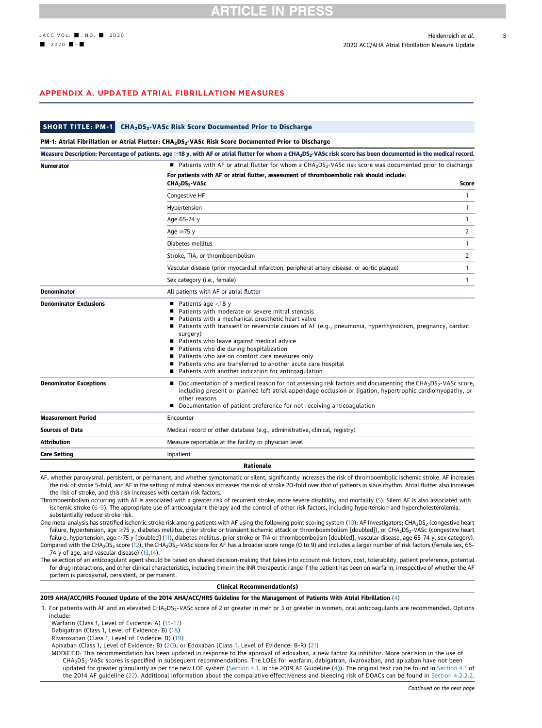### <span id="page-4-0"></span>APPENDIX A. UPDATED ATRIAL FIBRILLATION MEASURES

### SHORT TITLE: PM-1 CHA<sub>2</sub>DS<sub>2</sub>-VASc Risk Score Documented Prior to Discharge PM-1: Atrial Fibrillation or Atrial Flutter: CHA<sub>2</sub>DS<sub>2</sub>-VASc Risk Score Documented Prior to Discharge Measure Description: Percentage of patients, age ≥18 y, with AF or atrial flutter for whom a CHA<sub>2</sub>DS<sub>2</sub>-VASc risk score has been documented in the medical record. Numerator m Patients with AF or atrial flutter for whom a CHA<sub>2</sub>DS<sub>2</sub>-VASc risk score was documented prior to discharge For patients with AF or atrial flutter, assessment of thromboembolic risk should include: CHA<sub>2</sub>DS<sub>2</sub>-VASc Score Score Score Score Score Score Score Score Score Score Score Score Score Score Score Score Score Score Score Score Score Score Score Score Score Score Score Score Score Score Score Score Score Score S Congestive HF 1 Hypertension 1 Age 65-74 y 1 Age  $\geq$  75 y 2 Diabetes mellitus 1 Stroke, TIA, or thromboembolism 2 Vascular disease (prior myocardial infarction, peripheral artery disease, or aortic plaque) 1 Sex category (i.e., female) 1 and 1 and 2 and 2 and 2 and 2 and 2 and 2 and 2 and 2 and 2 and 2 and 2 and 2 and 2 and 2 and 2 and 2 and 2 and 2 and 2 and 2 and 2 and 2 and 2 and 2 and 2 and 2 and 2 and 2 and 2 and 2 and 2 **Denominator Contract All patients with AF or atrial flutter Denominator Exclusions n Patients age <18 y** Patients with moderate or severe mitral stenosis n Patients with a mechanical prosthetic heart valve n Patients with transient or reversible causes of AF (e.g., pneumonia, hyperthyroidism, pregnancy, cardiac surgery) ■ Patients who leave against medical advice ■ Patients who die during hospitalization ■ Patients who are on comfort care measures only Patients who are transferred to another acute care hospital ■ Patients with another indication for anticoagulation Denominator Exceptions **n** Documentation of a medical reason for not assessing risk factors and documenting the CHA<sub>2</sub>DS<sub>2</sub>-VASc score, including present or planned left atrial appendage occlusion or ligation, hypertrophic cardiomyopathy, or other reasons ■ Documentation of patient preference for not receiving anticoagulation **Measurement Period Encounter** Sources of Data Medical record or other database (e.g., administrative, clinical, registry) Attribution **Attribution** Measure reportable at the facility or physician level Care Setting **Inpatient** Rationale AF, whether paroxysmal, persistent, or permanent, and whether symptomatic or silent, significantly increases the risk of thromboembolic ischemic stroke. AF increases

the risk of stroke 5-fold, and AF in the setting of mitral stenosis increases the risk of stroke 20-fold over that of patients in sinus rhythm. Atrial flutter also increases the risk of stroke, and this risk increases with certain risk factors.

Thromboembolism occurring with AF is associated with a greater risk of recurrent stroke, more severe disability, and mortality ([5](#page-3-4)). Silent AF is also associated with ischemic stroke (6–[9\)](#page-3-5). The appropriate use of anticoagulant therapy and the control of other risk factors, including hypertension and hypercholesterolemia, substantially reduce stroke risk.

One meta-analysis has stratified ischemic stroke risk among patients with AF using the following point scoring system ([10\)](#page-3-6): AF Investigators; CHA<sub>2</sub>DS<sub>2</sub> (congestive heart failure, hypertension, age ≥75 y, diabetes mellitus, prior stroke or transient ischemic attack or thromboembolism [doubled]), or CHA2DS2-VASc (congestive heart failure, hypertension, age ≥75 y [doubled] [\(11](#page-3-7)), diabetes mellitus, prior stroke or TIA or thromboembolism [doubled], vascular disease, age 65-74 y, sex category). Compared with the CHA<sub>2</sub>DS<sub>2</sub> score [\(12](#page-3-8)), the CHA<sub>2</sub>DS<sub>2</sub>-VASc score for AF has a broader score range (0 to 9) and includes a larger number of risk factors (female sex, 65-

74 y of age, and vascular disease)  $(13,14)$  $(13,14)$  $(13,14)$  $(13,14)$ . The selection of an anticoagulant agent should be based on shared decision-making that takes into account risk factors, cost, tolerability, patient preference, potential

for drug interactions, and other clinical characteristics, including time in the INR therapeutic range if the patient has been on warfarin, irrespective of whether the AF pattern is paroxysmal, persistent, or permanent.

#### Clinical Recommendation(s)

#### 2019 AHA/ACC/HRS Focused Update of the 2014 AHA/ACC/HRS Guideline for the Management of Patients With Atrial Fibrillation [\(4\)](#page-3-3)

1. For patients with AF and an elevated CHA<sub>2</sub>DS<sub>2</sub>-VASc score of 2 or greater in men or 3 or greater in women, oral anticoagulants are recommended. Options include:

Warfarin (Class 1, Level of Evidence: A) [\(15](#page-3-11)–17)

Dabigatran (Class 1, Level of Evidence: B) [\(18](#page-3-12))

Rivaroxaban (Class 1, Level of Evidence: B) ([19\)](#page-3-13)

Apixaban (Class 1, Level of Evidence: B) ([20](#page-3-14)), or Edoxaban (Class 1, Level of Evidence: B-R) [\(21\)](#page-3-15)

MODIFIED: This recommendation has been updated in response to the approval of edoxaban, a new factor Xa inhibitor. More precision in the use of CHA<sub>2</sub>DS<sub>2</sub>-VASc scores is specified in subsequent recommendations. The LOEs for warfarin, dabigatran, rivaroxaban, and apixaban have not been<br>updated for greater granularity as per the new LOE system [\(Section 4.1](#page-2-0). in the the 2014 AF guideline [\(22\)](#page-3-16). Additional information about the comparative effectiveness and bleeding risk of DOACs can be found in [Section 4.2.2.2.](#page-2-1)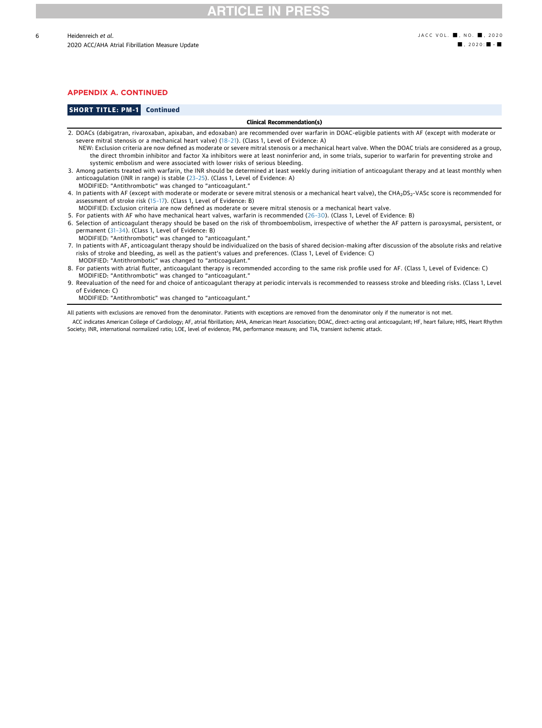6

| <b>SHORT TITLE: PM-1</b><br><b>Continued</b>                                                                                                                                                                                                                                                                                                                                                      |
|---------------------------------------------------------------------------------------------------------------------------------------------------------------------------------------------------------------------------------------------------------------------------------------------------------------------------------------------------------------------------------------------------|
| <b>Clinical Recommendation(s)</b>                                                                                                                                                                                                                                                                                                                                                                 |
| 2. DOACs (dabigatran, rivaroxaban, apixaban, and edoxaban) are recommended over warfarin in DOAC-eligible patients with AF (except with moderate or<br>severe mitral stenosis or a mechanical heart valve) (18-21). (Class 1, Level of Evidence: A)                                                                                                                                               |
| NEW: Exclusion criteria are now defined as moderate or severe mitral stenosis or a mechanical heart valve. When the DOAC trials are considered as a group,<br>the direct thrombin inhibitor and factor Xa inhibitors were at least noninferior and, in some trials, superior to warfarin for preventing stroke and<br>systemic embolism and were associated with lower risks of serious bleeding. |
| 3. Among patients treated with warfarin, the INR should be determined at least weekly during initiation of anticoagulant therapy and at least monthly when<br>anticoagulation (INR in range) is stable $(23-25)$ . (Class 1, Level of Evidence: A)                                                                                                                                                |
| MODIFIED: "Antithrombotic" was changed to "anticoagulant."<br>4. In patients with AF (except with moderate or moderate or severe mitral stenosis or a mechanical heart valve), the CHA <sub>2</sub> DS <sub>2</sub> -VASc score is recommended for<br>assessment of stroke risk (15-17). (Class 1, Level of Evidence: B)                                                                          |
| MODIFIED: Exclusion criteria are now defined as moderate or severe mitral stenosis or a mechanical heart valve.                                                                                                                                                                                                                                                                                   |
| 5. For patients with AF who have mechanical heart valves, warfarin is recommended (26-30). (Class 1, Level of Evidence: B)                                                                                                                                                                                                                                                                        |
| 6. Selection of anticoaqulant therapy should be based on the risk of thromboembolism, irrespective of whether the AF pattern is paroxysmal, persistent, or<br>permanent (31-34). (Class 1, Level of Evidence: B)                                                                                                                                                                                  |
| MODIFIED: "Antithrombotic" was changed to "anticoagulant."                                                                                                                                                                                                                                                                                                                                        |
| 7. In patients with AF, anticoagulant therapy should be individualized on the basis of shared decision-making after discussion of the absolute risks and relative<br>risks of stroke and bleeding, as well as the patient's values and preferences. (Class 1, Level of Evidence: C)<br>MODIFIED: "Antithrombotic" was changed to "anticoagulant."                                                 |
| 8. For patients with atrial flutter, anticoagulant therapy is recommended according to the same risk profile used for AF. (Class 1, Level of Evidence: C)<br>MODIFIED: "Antithrombotic" was changed to "anticoagulant."                                                                                                                                                                           |
| 9. Reevaluation of the need for and choice of anticoagulant therapy at periodic intervals is recommended to reassess stroke and bleeding risks. (Class 1, Level<br>of Evidence: C)                                                                                                                                                                                                                |

of Evidence: C) MODIFIED: "Antithrombotic" was changed to "anticoagulant."

All patients with exclusions are removed from the denominator. Patients with exceptions are removed from the denominator only if the numerator is not met.

ACC indicates American College of Cardiology; AF, atrial fibrillation; AHA, American Heart Association; DOAC, direct-acting oral anticoagulant; HF, heart failure; HRS, Heart Rhythm Society; INR, international normalized ratio; LOE, level of evidence; PM, performance measure; and TIA, transient ischemic attack.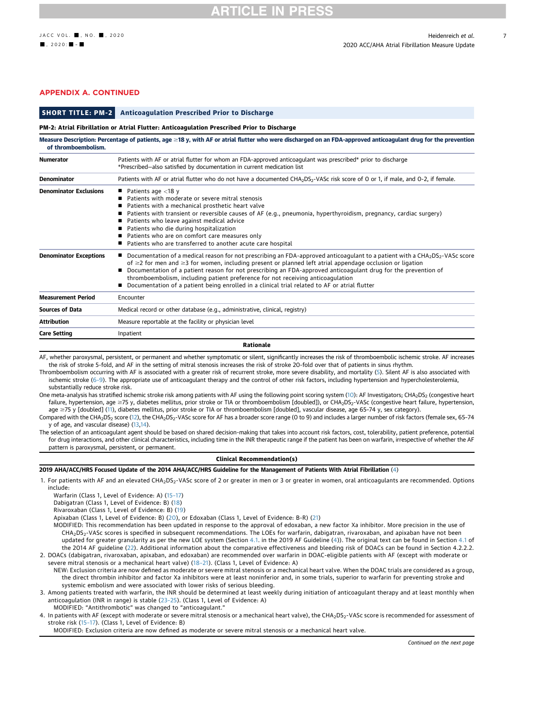| <b>SHORT TITLE: PM-2</b>                                                                   | <b>Anticoaqulation Prescribed Prior to Discharge</b>                                                                                                                                                                                                                                                                                                                                                                                                                    |  |  |  |  |  |
|--------------------------------------------------------------------------------------------|-------------------------------------------------------------------------------------------------------------------------------------------------------------------------------------------------------------------------------------------------------------------------------------------------------------------------------------------------------------------------------------------------------------------------------------------------------------------------|--|--|--|--|--|
| PM-2: Atrial Fibrillation or Atrial Flutter: Anticoagulation Prescribed Prior to Discharge |                                                                                                                                                                                                                                                                                                                                                                                                                                                                         |  |  |  |  |  |
| of thromboembolism.                                                                        | Measure Description: Percentage of patients, age ≥18 y, with AF or atrial flutter who were discharged on an FDA-approved anticoagulant drug for the prevention                                                                                                                                                                                                                                                                                                          |  |  |  |  |  |
| <b>Numerator</b>                                                                           | Patients with AF or atrial flutter for whom an FDA-approved anticoagulant was prescribed* prior to discharge<br>*Prescribed-also satisfied by documentation in current medication list                                                                                                                                                                                                                                                                                  |  |  |  |  |  |
| <b>Denominator</b>                                                                         | Patients with AF or atrial flutter who do not have a documented CHA <sub>2</sub> DS <sub>2</sub> -VASc risk score of 0 or 1, if male, and 0-2, if female.                                                                                                                                                                                                                                                                                                               |  |  |  |  |  |
| <b>Denominator Exclusions</b>                                                              | <b>Patients age &lt;18 y</b><br>Patients with moderate or severe mitral stenosis<br>Patients with a mechanical prosthetic heart valve<br>■ Patients with transient or reversible causes of AF (e.g., pneumonia, hyperthyroidism, pregnancy, cardiac surgery)<br>Patients who leave against medical advice<br>Patients who die during hospitalization<br>Patients who are on comfort care measures only<br>■ Patients who are transferred to another acute care hospital |  |  |  |  |  |

| <b>Denominator Exceptions</b>                                               | Documentation of a medical reason for not prescribing an FDA-approved anticoagulant to a patient with a CHA <sub>2</sub> DS <sub>2</sub> -VASc score<br>of $\geq$ for men and $\geq$ 3 for women, including present or planned left atrial appendage occlusion or ligation<br>Documentation of a patient reason for not prescribing an FDA-approved anticoagulant drug for the prevention of<br>thromboembolism, including patient preference for not receiving anticoagulation<br>Documentation of a patient being enrolled in a clinical trial related to AF or atrial flutter |  |  |  |  |
|-----------------------------------------------------------------------------|----------------------------------------------------------------------------------------------------------------------------------------------------------------------------------------------------------------------------------------------------------------------------------------------------------------------------------------------------------------------------------------------------------------------------------------------------------------------------------------------------------------------------------------------------------------------------------|--|--|--|--|
| <b>Measurement Period</b>                                                   | Encounter                                                                                                                                                                                                                                                                                                                                                                                                                                                                                                                                                                        |  |  |  |  |
| Sources of Data                                                             | Medical record or other database (e.g., administrative, clinical, registry)                                                                                                                                                                                                                                                                                                                                                                                                                                                                                                      |  |  |  |  |
| <b>Attribution</b><br>Measure reportable at the facility or physician level |                                                                                                                                                                                                                                                                                                                                                                                                                                                                                                                                                                                  |  |  |  |  |
| <b>Care Setting</b>                                                         | Inpatient                                                                                                                                                                                                                                                                                                                                                                                                                                                                                                                                                                        |  |  |  |  |

Rationale

AF, whether paroxysmal, persistent, or permanent and whether symptomatic or silent, significantly increases the risk of thromboembolic ischemic stroke. AF increases the risk of stroke 5-fold, and AF in the setting of mitral stenosis increases the risk of stroke 20-fold over that of patients in sinus rhythm.

Thromboembolism occurring with AF is associated with a greater risk of recurrent stroke, more severe disability, and mortality ([5\)](#page-3-4). Silent AF is also associated with ischemic stroke ([6](#page-3-5)–9). The appropriate use of anticoagulant therapy and the control of other risk factors, including hypertension and hypercholesterolemia, substantially reduce stroke risk.

One meta-analysis has stratified ischemic stroke risk among patients with AF using the following point scoring system [\(10](#page-3-6)): AF Investigators; CHA<sub>2</sub>DS<sub>2</sub> (congestive heart failure, hypertension, age ≥75 y, diabetes mellitus, prior stroke or TIA or thromboembolism [doubled]), or CHA<sub>2</sub>DS<sub>2</sub>-VASc (congestive heart failure, hypertension, age ≥75 y [doubled] [\(11](#page-3-7)), diabetes mellitus, prior stroke or TIA or thromboembolism [doubled], vascular disease, age 65-74 y, sex category).

Compared with the CHA<sub>2</sub>DS<sub>2</sub> score ([12\)](#page-3-8), the CHA<sub>2</sub>DS<sub>2</sub>-VASc score for AF has a broader score range (0 to 9) and includes a larger number of risk factors (female sex, 65-74 y of age, and vascular disease) ([13,](#page-3-9)[14\)](#page-3-10).

The selection of an anticoagulant agent should be based on shared decision-making that takes into account risk factors, cost, tolerability, patient preference, potential for drug interactions, and other clinical characteristics, including time in the INR therapeutic range if the patient has been on warfarin, irrespective of whether the AF pattern is paroxysmal, persistent, or permanent.

#### Clinical Recommendation(s)

2019 AHA/ACC/HRS Focused Update of the 2014 AHA/ACC/HRS Guideline for the Management of Patients With Atrial Fibrillation ([4\)](#page-3-3)

1. For patients with AF and an elevated CHA<sub>2</sub>DS<sub>2</sub>-VASc score of 2 or greater in men or 3 or greater in women, oral anticoagulants are recommended. Options include:

Warfarin (Class 1, Level of Evidence: A) (15–[17\)](#page-3-11)

Dabigatran (Class 1, Level of Evidence: B) ([18](#page-3-12))

Rivaroxaban (Class 1, Level of Evidence: B) [\(19](#page-3-13))

Apixaban (Class 1, Level of Evidence: B) [\(20](#page-3-14)), or Edoxaban (Class 1, Level of Evidence: B-R) [\(21\)](#page-3-15)

MODIFIED: This recommendation has been updated in response to the approval of edoxaban, a new factor Xa inhibitor. More precision in the use of CHA<sub>2</sub>DS<sub>2</sub>-VASc scores is specified in subsequent recommendations. The LOEs for warfarin, dabigatran, rivaroxaban, and apixaban have not been updated for greater granularity as per the new LOE system (Section [4.1](#page-2-0). in the 2019 AF Guideline ([4\)](#page-3-3)). The original text can be found in Section [4.1](#page-2-0) of the 2014 AF guideline [\(22](#page-3-16)). Additional information about the comparative effectiveness and bleeding risk of DOACs can be found in Section 4.2.2.2. 2. DOACs (dabigatran, rivaroxaban, apixaban, and edoxaban) are recommended over warfarin in DOAC-eligible patients with AF (except with moderate or

severe mitral stenosis or a mechanical heart valve) (18-[21\)](#page-3-12). (Class 1, Level of Evidence: A) NEW: Exclusion criteria are now defined as moderate or severe mitral stenosis or a mechanical heart valve. When the DOAC trials are considered as a group, the direct thrombin inhibitor and factor Xa inhibitors were at least noninferior and, in some trials, superior to warfarin for preventing stroke and systemic embolism and were associated with lower risks of serious bleeding.

3. Among patients treated with warfarin, the INR should be determined at least weekly during initiation of anticoagulant therapy and at least monthly when anticoagulation (INR in range) is stable ([23](#page-3-17)–25). (Class 1, Level of Evidence: A)

MODIFIED: "Antithrombotic" was changed to "anticoagulant." 4. In patients with AF (except with moderate or severe mitral stenosis or a mechanical heart valve), the CHA<sub>2</sub>DS<sub>2</sub>-VASc score is recommended for assessment of stroke risk (15–[17\)](#page-3-11). (Class 1, Level of Evidence: B)

MODIFIED: Exclusion criteria are now defined as moderate or severe mitral stenosis or a mechanical heart valve.

Continued on the next page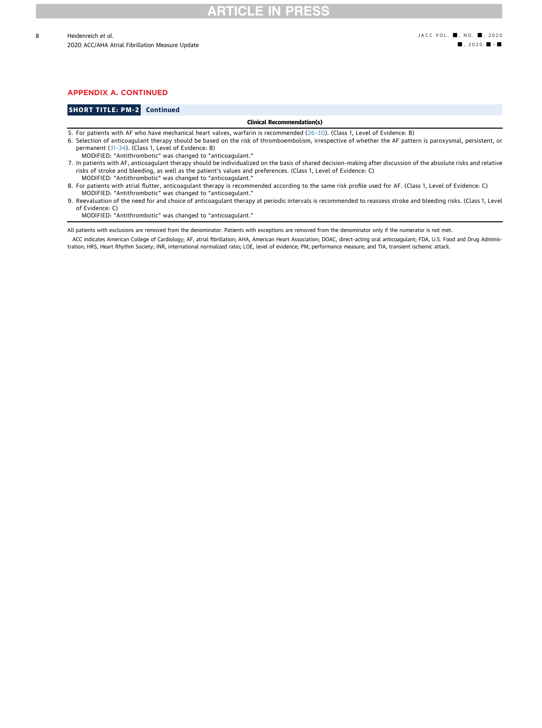### SHORT TITLE: PM-2 Continued

Clinical Recommendation(s)

- 5. For patients with AF who have mechanical heart valves, warfarin is recommended (26–[30\)](#page-3-18). (Class 1, Level of Evidence: B)
- 6. Selection of anticoagulant therapy should be based on the risk of thromboembolism, irrespective of whether the AF pattern is paroxysmal, persistent, or permanent (31–[34\)](#page-3-19). (Class 1, Level of Evidence: B)

MODIFIED: "Antithrombotic" was changed to "anticoagulant."

MODIFIED: "Antithrombotic" was changed to "anticoagulant."

All patients with exclusions are removed from the denominator. Patients with exceptions are removed from the denominator only if the numerator is not met.

ACC indicates American College of Cardiology; AF, atrial fibrillation; AHA, American Heart Association; DOAC, direct-acting oral anticoagulant; FDA, U.S. Food and Drug Administration; HRS, Heart Rhythm Society; INR, international normalized ratio; LOE, level of evidence; PM, performance measure; and TIA, transient ischemic attack.

8

<sup>7.</sup> In patients with AF, anticoagulant therapy should be individualized on the basis of shared decision-making after discussion of the absolute risks and relative risks of stroke and bleeding, as well as the patient's values and preferences. (Class 1, Level of Evidence: C) MODIFIED: "Antithrombotic" was changed to "anticoagulant."

<sup>8.</sup> For patients with atrial flutter, anticoagulant therapy is recommended according to the same risk profile used for AF. (Class 1, Level of Evidence: C) MODIFIED: "Antithrombotic" was changed to "anticoagulant."

<sup>9.</sup> Reevaluation of the need for and choice of anticoagulant therapy at periodic intervals is recommended to reassess stroke and bleeding risks. (Class 1, Level of Evidence: C)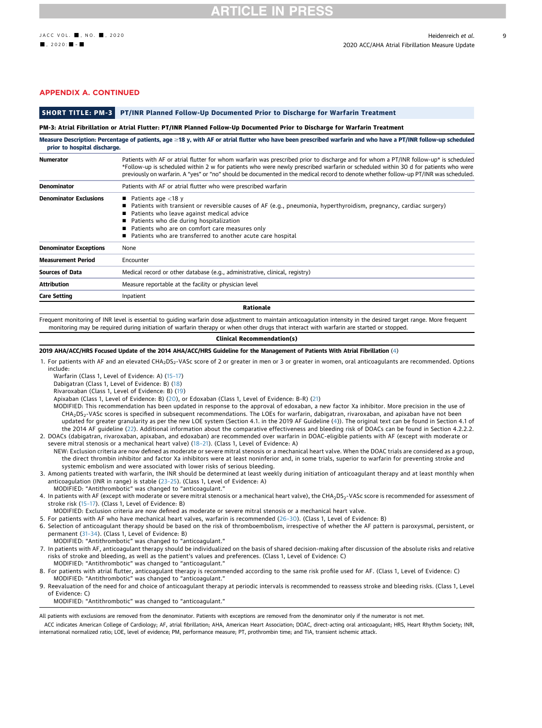### SHORT TITLE: PM-3 PT/INR Planned Follow-Up Documented Prior to Discharge for Warfarin Treatment

PM-3: Atrial Fibrillation or Atrial Flutter: PT/INR Planned Follow-Up Documented Prior to Discharge for Warfarin Treatment

| prior to hospital discharge.  | Measure Description: Percentage of patients, age $\geq$ 18 y, with AF or atrial flutter who have been prescribed warfarin and who have a PT/INR follow-up scheduled                                                                                                                                                                                                                                               |  |  |  |
|-------------------------------|-------------------------------------------------------------------------------------------------------------------------------------------------------------------------------------------------------------------------------------------------------------------------------------------------------------------------------------------------------------------------------------------------------------------|--|--|--|
| <b>Numerator</b>              | Patients with AF or atrial flutter for whom warfarin was prescribed prior to discharge and for whom a PT/INR follow-up* is scheduled<br>*Follow-up is scheduled within 2 w for patients who were newly prescribed warfarin or scheduled within 30 d for patients who were<br>previously on warfarin. A "yes" or "no" should be documented in the medical record to denote whether follow-up PT/INR was scheduled. |  |  |  |
| <b>Denominator</b>            | Patients with AF or atrial flutter who were prescribed warfarin                                                                                                                                                                                                                                                                                                                                                   |  |  |  |
| <b>Denominator Exclusions</b> | <b>Patients age &lt;18 y</b><br>Patients with transient or reversible causes of AF (e.g., pneumonia, hyperthyroidism, pregnancy, cardiac surgery)<br>Patients who leave against medical advice<br>Patients who die during hospitalization<br>Patients who are on comfort care measures only<br>Patients who are transferred to another acute care hospital                                                        |  |  |  |
| <b>Denominator Exceptions</b> | None                                                                                                                                                                                                                                                                                                                                                                                                              |  |  |  |
| <b>Measurement Period</b>     | Encounter                                                                                                                                                                                                                                                                                                                                                                                                         |  |  |  |
| <b>Sources of Data</b>        | Medical record or other database (e.g., administrative, clinical, registry)                                                                                                                                                                                                                                                                                                                                       |  |  |  |
| <b>Attribution</b>            | Measure reportable at the facility or physician level                                                                                                                                                                                                                                                                                                                                                             |  |  |  |
| <b>Care Setting</b>           | Inpatient                                                                                                                                                                                                                                                                                                                                                                                                         |  |  |  |
|                               |                                                                                                                                                                                                                                                                                                                                                                                                                   |  |  |  |

#### Rationale

Frequent monitoring of INR level is essential to guiding warfarin dose adjustment to maintain anticoagulation intensity in the desired target range. More frequent monitoring may be required during initiation of warfarin therapy or when other drugs that interact with warfarin are started or stopped.

#### Clinical Recommendation(s)

2019 AHA/ACC/HRS Focused Update of the 2014 AHA/ACC/HRS Guideline for the Management of Patients With Atrial Fibrillation ([4\)](#page-3-3)

1. For patients with AF and an elevated CHA<sub>2</sub>DS<sub>2</sub>-VASc score of 2 or greater in men or 3 or greater in women, oral anticoagulants are recommended. Options include:

Warfarin (Class 1, Level of Evidence: A) (15–[17\)](#page-3-11)

Dabigatran (Class 1, Level of Evidence: B) ([18](#page-3-12))

Rivaroxaban (Class 1, Level of Evidence: B) [\(19](#page-3-13))

Apixaban (Class 1, Level of Evidence: B) [\(20](#page-3-14)), or Edoxaban (Class 1, Level of Evidence: B-R) [\(21\)](#page-3-15)

MODIFIED: This recommendation has been updated in response to the approval of edoxaban, a new factor Xa inhibitor. More precision in the use of CHA<sub>2</sub>DS<sub>2</sub>-VASc scores is specified in subsequent recommendations. The LOEs for warfarin, dabigatran, rivaroxaban, and apixaban have not been updated for greater granularity as per the new LOE system (Section 4.1. in the 2019 AF Guideline ([4\)](#page-3-3)). The original text can be found in Section 4.1 of the 2014 AF guideline [\(22](#page-3-16)). Additional information about the comparative effectiveness and bleeding risk of DOACs can be found in Section 4.2.2.2. 2. DOACs (dabigatran, rivaroxaban, apixaban, and edoxaban) are recommended over warfarin in DOAC-eligible patients with AF (except with moderate or

- severe mitral stenosis or a mechanical heart valve) (18-[21\)](#page-3-12). (Class 1, Level of Evidence: A) NEW: Exclusion criteria are now defined as moderate or severe mitral stenosis or a mechanical heart valve. When the DOAC trials are considered as a group, the direct thrombin inhibitor and factor Xa inhibitors were at least noninferior and, in some trials, superior to warfarin for preventing stroke and systemic embolism and were associated with lower risks of serious bleeding.
- 3. Among patients treated with warfarin, the INR should be determined at least weekly during initiation of anticoagulant therapy and at least monthly when anticoagulation (INR in range) is stable ([23](#page-3-17)–25). (Class 1, Level of Evidence: A)
- MODIFIED: "Antithrombotic" was changed to "anticoagulant."
- 4. In patients with AF (except with moderate or severe mitral stenosis or a mechanical heart valve), the CHA<sub>2</sub>DS<sub>2</sub>-VASc score is recommended for assessment of stroke risk (15-[17\)](#page-3-11). (Class 1, Level of Evidence: B)

MODIFIED: Exclusion criteria are now defined as moderate or severe mitral stenosis or a mechanical heart valve.

- 5. For patients with AF who have mechanical heart valves, warfarin is recommended (26–[30\)](#page-3-18). (Class 1, Level of Evidence: B)
- 6. Selection of anticoagulant therapy should be based on the risk of thromboembolism, irrespective of whether the AF pattern is paroxysmal, persistent, or permanent (31–[34\)](#page-3-19). (Class 1, Level of Evidence: B)
	- MODIFIED: "Antithrombotic" was changed to "anticoagulant."

7. In patients with AF, anticoagulant therapy should be individualized on the basis of shared decision-making after discussion of the absolute risks and relative risks of stroke and bleeding, as well as the patient's values and preferences. (Class 1, Level of Evidence: C) MODIFIED: "Antithrombotic" was changed to "anticoagulant.

8. For patients with atrial flutter, anticoagulant therapy is recommended according to the same risk profile used for AF. (Class 1, Level of Evidence: C) MODIFIED: "Antithrombotic" was changed to "anticoagulant."

9. Reevaluation of the need for and choice of anticoagulant therapy at periodic intervals is recommended to reassess stroke and bleeding risks. (Class 1, Level of Evidence: C)

MODIFIED: "Antithrombotic" was changed to "anticoagulant."

ACC indicates American College of Cardiology; AF, atrial fibrillation; AHA, American Heart Association; DOAC, direct-acting oral anticoagulant; HRS, Heart Rhythm Society; INR, international normalized ratio; LOE, level of evidence; PM, performance measure; PT, prothrombin time; and TIA, transient ischemic attack.

All patients with exclusions are removed from the denominator. Patients with exceptions are removed from the denominator only if the numerator is not met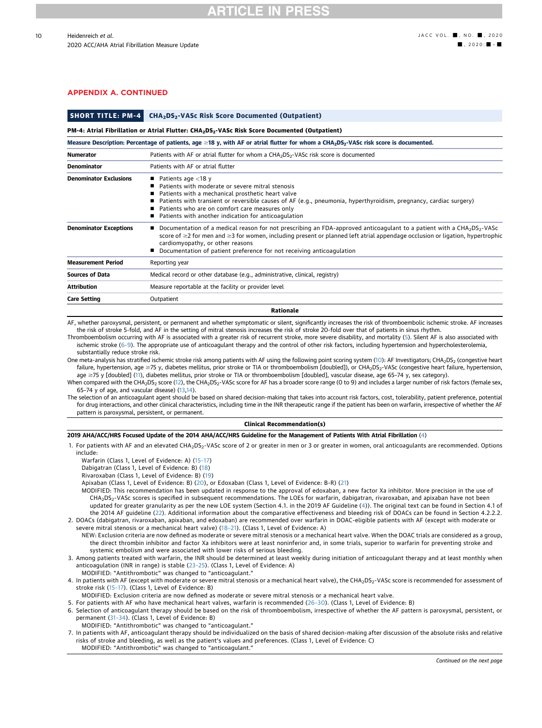### APPENDIX A. CONTINUED

| <b>SHORT TITLE: PM-4</b>      | <b>CHA<sub>2</sub>DS<sub>2</sub>-VASc Risk Score Documented (Outpatient)</b>                                                                                                                                                                                                                                                                                                                              |  |  |  |  |  |  |
|-------------------------------|-----------------------------------------------------------------------------------------------------------------------------------------------------------------------------------------------------------------------------------------------------------------------------------------------------------------------------------------------------------------------------------------------------------|--|--|--|--|--|--|
|                               | PM-4: Atrial Fibrillation or Atrial Flutter: CHA <sub>2</sub> DS <sub>2</sub> -VASc Risk Score Documented (Outpatient)                                                                                                                                                                                                                                                                                    |  |  |  |  |  |  |
|                               | Measure Description: Percentage of patients, age $\geq$ 18 y, with AF or atrial flutter for whom a CHA <sub>2</sub> DS <sub>2</sub> -VASc risk score is documented.                                                                                                                                                                                                                                       |  |  |  |  |  |  |
| <b>Numerator</b>              | Patients with AF or atrial flutter for whom a CHA <sub>2</sub> DS <sub>2</sub> -VASc risk score is documented                                                                                                                                                                                                                                                                                             |  |  |  |  |  |  |
| <b>Denominator</b>            | Patients with AF or atrial flutter                                                                                                                                                                                                                                                                                                                                                                        |  |  |  |  |  |  |
| <b>Denominator Exclusions</b> | Patients age $<$ 18 y<br>Patients with moderate or severe mitral stenosis<br>Patients with a mechanical prosthetic heart valve<br>Patients with transient or reversible causes of AF (e.g., pneumonia, hyperthyroidism, pregnancy, cardiac surgery)<br>Patients who are on comfort care measures only<br>Patients with another indication for anticoagulation                                             |  |  |  |  |  |  |
| <b>Denominator Exceptions</b> | ■ Documentation of a medical reason for not prescribing an FDA-approved anticoagulant to a patient with a CHA <sub>2</sub> DS <sub>2</sub> -VASc<br>score of $\geq$ 2 for men and $\geq$ 3 for women, including present or planned left atrial appendage occlusion or ligation, hypertrophic<br>cardiomyopathy, or other reasons<br>Documentation of patient preference for not receiving anticoagulation |  |  |  |  |  |  |
| <b>Measurement Period</b>     | Reporting year                                                                                                                                                                                                                                                                                                                                                                                            |  |  |  |  |  |  |
| <b>Sources of Data</b>        | Medical record or other database (e.g., administrative, clinical, registry)                                                                                                                                                                                                                                                                                                                               |  |  |  |  |  |  |
| <b>Attribution</b>            | Measure reportable at the facility or provider level                                                                                                                                                                                                                                                                                                                                                      |  |  |  |  |  |  |
| <b>Care Setting</b>           | Outpatient                                                                                                                                                                                                                                                                                                                                                                                                |  |  |  |  |  |  |
|                               | <b>Dationale</b>                                                                                                                                                                                                                                                                                                                                                                                          |  |  |  |  |  |  |

Rationale

AF, whether paroxysmal, persistent, or permanent and whether symptomatic or silent, significantly increases the risk of thromboembolic ischemic stroke. AF increases the risk of stroke 5-fold, and AF in the setting of mitral stenosis increases the risk of stroke 20-fold over that of patients in sinus rhythm.

Thromboembolism occurring with AF is associated with a greater risk of recurrent stroke, more severe disability, and mortality [\(5\)](#page-3-4). Silent AF is also associated with ischemic stroke ([6](#page-3-5)–9). The appropriate use of anticoagulant therapy and the control of other risk factors, including hypertension and hypercholesterolemia, substantially reduce stroke risk.

One meta-analysis has stratified ischemic stroke risk among patients with AF using the following point scoring system [\(10](#page-3-6)): AF Investigators; CHA<sub>2</sub>DS<sub>2</sub> (congestive heart failure, hypertension, age ≥75 y, diabetes mellitus, prior stroke or TIA or thromboembolism [doubled]), or CHA<sub>2</sub>DS<sub>2</sub>-VASc (congestive heart failure, hypertension, age ≥75 y [doubled] [\(11](#page-3-7)), diabetes mellitus, prior stroke or TIA or thromboembolism [doubled], vascular disease, age 65-74 y, sex category)

When compared with the CHA<sub>2</sub>DS<sub>2</sub> score ([12\)](#page-3-8), the CHA<sub>2</sub>DS<sub>2</sub>-VASc score for AF has a broader score range (0 to 9) and includes a larger number of risk factors (female sex, 65–74 y of age, and vascular disease) ([13](#page-3-9)[,14\)](#page-3-10).

The selection of an anticoagulant agent should be based on shared decision-making that takes into account risk factors, cost, tolerability, patient preference, potential for drug interactions, and other clinical characteristics, including time in the INR therapeutic range if the patient has been on warfarin, irrespective of whether the AF pattern is paroxysmal, persistent, or permanent.

#### Clinical Recommendation(s)

#### 2019 AHA/ACC/HRS Focused Update of the 2014 AHA/ACC/HRS Guideline for the Management of Patients With Atrial Fibrillation ([4\)](#page-3-3)

1. For patients with AF and an elevated CHA<sub>2</sub>DS<sub>2</sub>-VASc score of 2 or greater in men or 3 or greater in women, oral anticoagulants are recommended. Options include:

Warfarin (Class 1, Level of Evidence: A) [\(15](#page-3-11)–17)

Dabigatran (Class 1, Level of Evidence: B) [\(18](#page-3-12))

Rivaroxaban (Class 1, Level of Evidence: B) ([19\)](#page-3-13)

Apixaban (Class 1, Level of Evidence: B) ([20](#page-3-14)), or Edoxaban (Class 1, Level of Evidence: B-R) [\(21\)](#page-3-15)

MODIFIED: This recommendation has been updated in response to the approval of edoxaban, a new factor Xa inhibitor. More precision in the use of CHA<sub>2</sub>DS<sub>2</sub>-VASc scores is specified in subsequent recommendations. The LOEs for warfarin, dabigatran, rivaroxaban, and apixaban have not been updated for greater granularity as per the new LOE system (Section 4.1. in the 2019 AF Guideline ([4\)](#page-3-3)). The original text can be found in Section 4.1 of the 2014 AF guideline [\(22](#page-3-16)). Additional information about the comparative effectiveness and bleeding risk of DOACs can be found in Section 4.2.2.2. 2. DOACs (dabigatran, rivaroxaban, apixaban, and edoxaban) are recommended over warfarin in DOAC-eligible patients with AF (except with moderate or

severe mitral stenosis or a mechanical heart valve) (18-[21\)](#page-3-12). (Class 1, Level of Evidence: A) NEW: Exclusion criteria are now defined as moderate or severe mitral stenosis or a mechanical heart valve. When the DOAC trials are considered as a group, the direct thrombin inhibitor and factor Xa inhibitors were at least noninferior and, in some trials, superior to warfarin for preventing stroke and systemic embolism and were associated with lower risks of serious bleeding.

3. Among patients treated with warfarin, the INR should be determined at least weekly during initiation of anticoagulant therapy and at least monthly when anticoagulation (INR in range) is stable (23–[25](#page-3-17)). (Class 1, Level of Evidence: A)

MODIFIED: "Antithrombotic" was changed to "anticoagulant."

4. In patients with AF (except with moderate or severe mitral stenosis or a mechanical heart valve), the CHA<sub>2</sub>DS<sub>2</sub>-VASc score is recommended for assessment of stroke risk (15–[17\)](#page-3-11). (Class 1, Level of Evidence: B)

MODIFIED: Exclusion criteria are now defined as moderate or severe mitral stenosis or a mechanical heart valve.

5. For patients with AF who have mechanical heart valves, warfarin is recommended (26–[30\)](#page-3-18). (Class 1, Level of Evidence: B)

6. Selection of anticoagulant therapy should be based on the risk of thromboembolism, irrespective of whether the AF pattern is paroxysmal, persistent, or permanent (31–[34\)](#page-3-19). (Class 1, Level of Evidence: B)

MODIFIED: "Antithrombotic" was changed to "anticoagulant."

7. In patients with AF, anticoagulant therapy should be individualized on the basis of shared decision-making after discussion of the absolute risks and relative risks of stroke and bleeding, as well as the patient's values and preferences. (Class 1, Level of Evidence: C) MODIFIED: "Antithrombotic" was changed to "anticoagulant."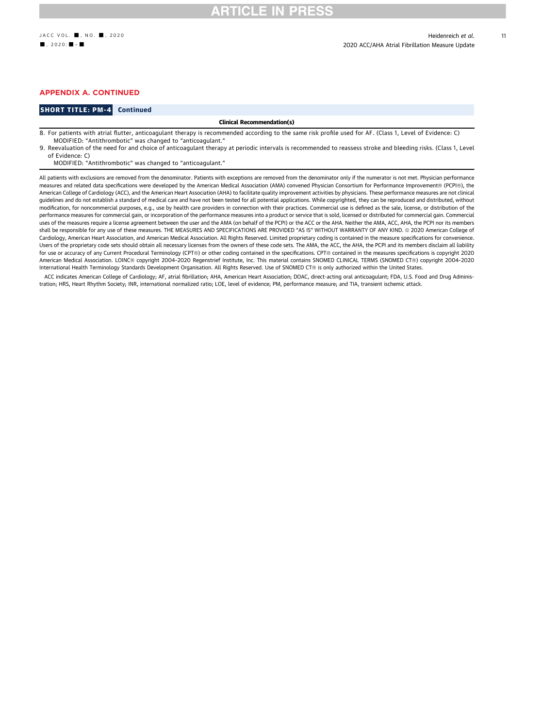### SHORT TITLE: PM-4 Continued

#### Clinical Recommendation(s)

8. For patients with atrial flutter, anticoagulant therapy is recommended according to the same risk profile used for AF. (Class 1, Level of Evidence: C) MODIFIED: "Antithrombotic" was changed to "anticoagulant."

9. Reevaluation of the need for and choice of anticoagulant therapy at periodic intervals is recommended to reassess stroke and bleeding risks. (Class 1, Level of Evidence: C)

MODIFIED: "Antithrombotic" was changed to "anticoagulant."

All patients with exclusions are removed from the denominator. Patients with exceptions are removed from the denominator only if the numerator is not met. Physician performance measures and related data specifications were developed by the American Medical Association (AMA) convened Physician Consortium for Performance Improvement<sup>®</sup> (PCPI®), the American College of Cardiology (ACC), and the American Heart Association (AHA) to facilitate quality improvement activities by physicians. These performance measures are not clinical guidelines and do not establish a standard of medical care and have not been tested for all potential applications. While copyrighted, they can be reproduced and distributed, without modification, for noncommercial purposes, e.g., use by health care providers in connection with their practices. Commercial use is defined as the sale, license, or distribution of the performance measures for commercial gain, or incorporation of the performance measures into a product or service that is sold, licensed or distributed for commercial gain. Commercial uses of the measures require a license agreement between the user and the AMA (on behalf of the PCPI) or the ACC or the AHA. Neither the AMA, ACC, AHA, the PCPI nor its members shall be responsible for any use of these measures. THE MEASURES AND SPECIFICATIONS ARE PROVIDED "AS IS" WITHOUT WARRANTY OF ANY KIND. @ 2020 American College of Cardiology, American Heart Association, and American Medical Association. All Rights Reserved. Limited proprietary coding is contained in the measure specifications for convenience. Users of the proprietary code sets should obtain all necessary licenses from the owners of these code sets. The AMA, the ACC, the AHA, the PCPI and its members disclaim all liability for use or accuracy of any Current Procedural Terminology (CPT®) or other coding contained in the specifications. CPT® contained in the measures specifications is copyright 2020 American Medical Association. LOINC® copyright 2004-2020 Regenstrief Institute, Inc. This material contains SNOMED CLINICAL TERMS (SNOMED CT®) copyright 2004-2020 International Health Terminology Standards Development Organisation. All Rights Reserved. Use of SNOMED CT® is only authorized within the United States.

ACC indicates American College of Cardiology; AF, atrial fibrillation; AHA, American Heart Association; DOAC, direct-acting oral anticoagulant; FDA, U.S. Food and Drug Administration; HRS, Heart Rhythm Society; INR, international normalized ratio; LOE, level of evidence; PM, performance measure; and TIA, transient ischemic attack.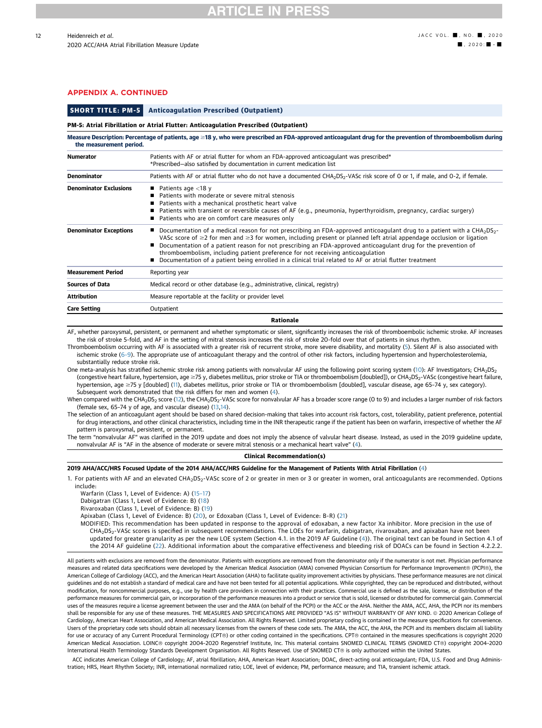| <b>SHORT TITLE: PM-5</b>      | <b>Anticoagulation Prescribed (Outpatient)</b>                                                                                                                                                                                                                                                                                                                                                                                                                                                                                                                                                          |
|-------------------------------|---------------------------------------------------------------------------------------------------------------------------------------------------------------------------------------------------------------------------------------------------------------------------------------------------------------------------------------------------------------------------------------------------------------------------------------------------------------------------------------------------------------------------------------------------------------------------------------------------------|
|                               | PM-5: Atrial Fibrillation or Atrial Flutter: Anticoagulation Prescribed (Outpatient)                                                                                                                                                                                                                                                                                                                                                                                                                                                                                                                    |
| the measurement period.       | Measure Description: Percentage of patients, age ≥18 y, who were prescribed an FDA-approved anticoagulant drug for the prevention of thromboembolism during                                                                                                                                                                                                                                                                                                                                                                                                                                             |
| <b>Numerator</b>              | Patients with AF or atrial flutter for whom an FDA-approved anticoagulant was prescribed*<br>*Prescribed-also satisfied by documentation in current medication list                                                                                                                                                                                                                                                                                                                                                                                                                                     |
| Denominator                   | Patients with AF or atrial flutter who do not have a documented CHA <sub>2</sub> DS <sub>2</sub> -VASc risk score of 0 or 1, if male, and 0-2, if female.                                                                                                                                                                                                                                                                                                                                                                                                                                               |
| <b>Denominator Exclusions</b> | <b>Patients age &lt;18 y</b><br>Patients with moderate or severe mitral stenosis<br>Patients with a mechanical prosthetic heart valve<br>Patients with transient or reversible causes of AF (e.g., pneumonia, hyperthyroidism, pregnancy, cardiac surgery)<br>Patients who are on comfort care measures only                                                                                                                                                                                                                                                                                            |
| <b>Denominator Exceptions</b> | <b>Departmentation of a medical reason for not prescribing an FDA-approved anticoagulant drug to a patient with a CHA<sub>2</sub>DS<sub>2</sub>-</b><br>VASc score of $\geq$ 2 for men and $\geq$ 3 for women, including present or planned left atrial appendage occlusion or ligation<br>Documentation of a patient reason for not prescribing an FDA-approved anticoagulant drug for the prevention of<br>thromboembolism, including patient preference for not receiving anticoagulation<br>Documentation of a patient being enrolled in a clinical trial related to AF or atrial flutter treatment |
| <b>Measurement Period</b>     | Reporting year                                                                                                                                                                                                                                                                                                                                                                                                                                                                                                                                                                                          |
| <b>Sources of Data</b>        | Medical record or other database (e.g., administrative, clinical, registry)                                                                                                                                                                                                                                                                                                                                                                                                                                                                                                                             |
| <b>Attribution</b>            | Measure reportable at the facility or provider level                                                                                                                                                                                                                                                                                                                                                                                                                                                                                                                                                    |
| <b>Care Setting</b>           | Outpatient                                                                                                                                                                                                                                                                                                                                                                                                                                                                                                                                                                                              |

Rationale

AF, whether paroxysmal, persistent, or permanent and whether symptomatic or silent, significantly increases the risk of thromboembolic ischemic stroke. AF increases the risk of stroke 5-fold, and AF in the setting of mitral stenosis increases the risk of stroke 20-fold over that of patients in sinus rhythm.

Thromboembolism occurring with AF is associated with a greater risk of recurrent stroke, more severe disability, and mortality [\(5\)](#page-3-4). Silent AF is also associated with ischemic stroke ([6](#page-3-5)–9). The appropriate use of anticoagulant therapy and the control of other risk factors, including hypertension and hypercholesterolemia, substantially reduce stroke risk.

One meta-analysis has stratified ischemic stroke risk among patients with nonvalvular AF using the following point scoring system ([10\)](#page-3-6): AF Investigators; CHA<sub>2</sub>DS<sub>2</sub> (congestive heart failure, hypertension, age ≥75 y, diabetes mellitus, prior stroke or TIA or thromboembolism [doubled]), or CHA<sub>2</sub>DS<sub>2</sub>-VASc (congestive heart failure, hypertension, age ≥75 y [doubled] [\(11](#page-3-7)), diabetes mellitus, prior stroke or TIA or thromboembolism [doubled], vascular disease, age 65-74 y, sex category). Subsequent work demonstrated that the risk differs for men and women ([4](#page-3-3)).

When compared with the CHA<sub>2</sub>DS<sub>2</sub> score ([12\)](#page-3-8), the CHA<sub>2</sub>DS<sub>2</sub>-VASc score for nonvalvular AF has a broader score range (0 to 9) and includes a larger number of risk factors (female sex, 65–74 y of age, and vascular disease) ([13,](#page-3-9)[14\)](#page-3-10).

The selection of an anticoagulant agent should be based on shared decision-making that takes into account risk factors, cost, tolerability, patient preference, potential for drug interactions, and other clinical characteristics, including time in the INR therapeutic range if the patient has been on warfarin, irrespective of whether the AF pattern is paroxysmal, persistent, or permanent.

The term "nonvalvular AF" was clarified in the 2019 update and does not imply the absence of valvular heart disease. Instead, as used in the 2019 guideline update, nonvalvular AF is "AF in the absence of moderate or severe mitral stenosis or a mechanical heart valve" [\(4](#page-3-3)).

Clinical Recommendation(s)

2019 AHA/ACC/HRS Focused Update of the 2014 AHA/ACC/HRS Guideline for the Management of Patients With Atrial Fibrillation ([4\)](#page-3-3)

1. For patients with AF and an elevated CHA<sub>2</sub>DS<sub>2</sub>-VASc score of 2 or greater in men or 3 or greater in women, oral anticoagulants are recommended. Options include:

Warfarin (Class 1, Level of Evidence: A) (15–[17\)](#page-3-11)

Dabigatran (Class 1, Level of Evidence: B) ([18](#page-3-12))

Rivaroxaban (Class 1, Level of Evidence: B) ([19\)](#page-3-13)

Apixaban (Class 1, Level of Evidence: B) ([20\)](#page-3-14), or Edoxaban (Class 1, Level of Evidence: B-R) ([21](#page-3-15))

MODIFIED: This recommendation has been updated in response to the approval of edoxaban, a new factor Xa inhibitor. More precision in the use of CHA<sub>2</sub>DS<sub>2</sub>-VASc scores is specified in subsequent recommendations. The LOEs for warfarin, dabigatran, rivaroxaban, and apixaban have not been updated for greater granularity as per the new LOE system (Section 4.1. in the 2019 AF Guideline ([4\)](#page-3-3)). The original text can be found in Section 4.1 of the 2014 AF guideline [\(22](#page-3-16)). Additional information about the comparative effectiveness and bleeding risk of DOACs can be found in Section 4.2.2.2.

All patients with exclusions are removed from the denominator. Patients with exceptions are removed from the denominator only if the numerator is not met. Physician performance measures and related data specifications were developed by the American Medical Association (AMA) convened Physician Consortium for Performance Improvement<sup>®</sup> (PCPI®), the American College of Cardiology (ACC), and the American Heart Association (AHA) to facilitate quality improvement activities by physicians. These performance measures are not clinical guidelines and do not establish a standard of medical care and have not been tested for all potential applications. While copyrighted, they can be reproduced and distributed, without modification, for noncommercial purposes, e.g., use by health care providers in connection with their practices. Commercial use is defined as the sale, license, or distribution of the performance measures for commercial gain, or incorporation of the performance measures into a product or service that is sold, licensed or distributed for commercial gain. Commercial uses of the measures require a license agreement between the user and the AMA (on behalf of the PCPI) or the ACC or the AHA. Neither the AMA, ACC, AHA, the PCPI nor its members shall be responsible for any use of these measures. THE MEASURES AND SPECIFICATIONS ARE PROVIDED "AS IS" WITHOUT WARRANTY OF ANY KIND. @ 2020 American College of Cardiology, American Heart Association, and American Medical Association. All Rights Reserved. Limited proprietary coding is contained in the measure specifications for convenience. Users of the proprietary code sets should obtain all necessary licenses from the owners of these code sets. The AMA, the ACC, the AHA, the PCPI and its members disclaim all liability for use or accuracy of any Current Procedural Terminology (CPT®) or other coding contained in the specifications. CPT® contained in the measures specifications is copyright 2020 American Medical Association. LOINC® copyright 2004-2020 Regenstrief Institute, Inc. This material contains SNOMED CLINICAL TERMS (SNOMED CT®) copyright 2004-2020 International Health Terminology Standards Development Organisation. All Rights Reserved. Use of SNOMED CT® is only authorized within the United States.

ACC indicates American College of Cardiology; AF, atrial fibrillation; AHA, American Heart Association; DOAC, direct-acting oral anticoagulant; FDA, U.S. Food and Drug Administration; HRS, Heart Rhythm Society; INR, international normalized ratio; LOE, level of evidence; PM, performance measure; and TIA, transient ischemic attack.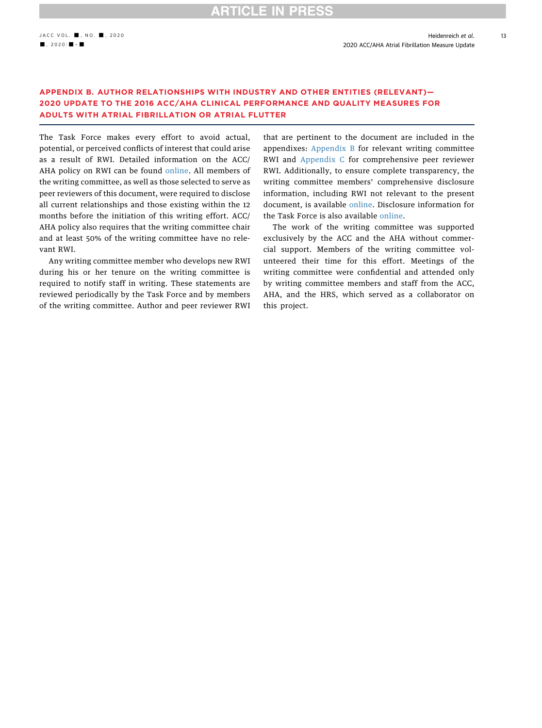## APPENDIX B. AUTHOR RELATIONSHIPS WITH INDUSTRY AND OTHER ENTITIES (RELEVANT)— 2020 UPDATE TO THE 2016 ACC/AHA CLINICAL PERFORMANCE AND QUALITY MEASURES FOR ADULTS WITH ATRIAL FIBRILLATION OR ATRIAL FLUTTER

The Task Force makes every effort to avoid actual, potential, or perceived conflicts of interest that could arise as a result of RWI. Detailed information on the ACC/ AHA policy on RWI can be found [online.](https://www.acc.org/guidelines/about-guidelines-and-clinical-documents/relationships-with-industry-policy) All members of the writing committee, as well as those selected to serve as peer reviewers of this document, were required to disclose all current relationships and those existing within the 12 months before the initiation of this writing effort. ACC/ AHA policy also requires that the writing committee chair and at least 50% of the writing committee have no relevant RWI.

Any writing committee member who develops new RWI during his or her tenure on the writing committee is required to notify staff in writing. These statements are reviewed periodically by the Task Force and by members of the writing committee. Author and peer reviewer RWI that are pertinent to the document are included in the appendixes: Appendix B for relevant writing committee RWI and Appendix C for comprehensive peer reviewer RWI. Additionally, to ensure complete transparency, the writing committee members' comprehensive disclosure information, including RWI not relevant to the present document, is available [online.](https://doi.org/10.1016/j.jacc.2020.08.037) Disclosure information for the Task Force is also available [online](https://www.acc.org/guidelines/about-guidelines-and-clinical-documents/guidelines-and-documents-task-forces).

The work of the writing committee was supported exclusively by the ACC and the AHA without commercial support. Members of the writing committee volunteered their time for this effort. Meetings of the writing committee were confidential and attended only by writing committee members and staff from the ACC, AHA, and the HRS, which served as a collaborator on this project.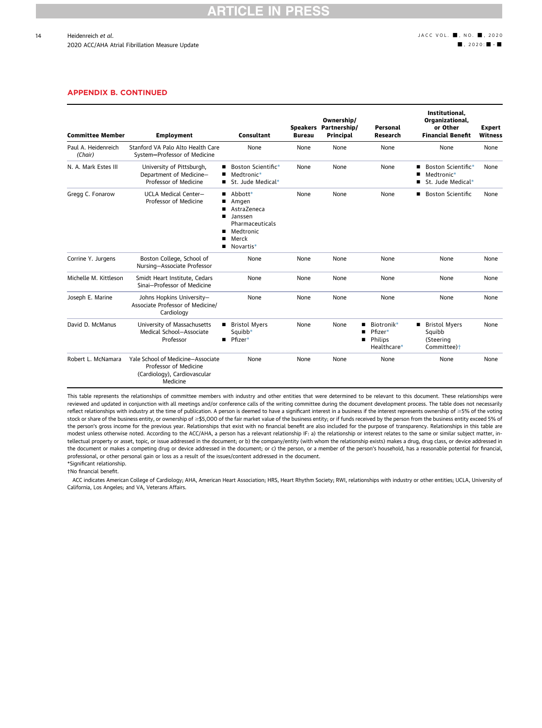2020 ACC/AHA Atrial Fibrillation Measure Update - , 2020: - , 2020: - , 2020: - , 2020: - , 2020: - , 2020: - , 2020: - , 2020: - , 2020: - , 2020: - , 2020: - , 2020: - , 2020: - , 2020: - , 2020: - , 2020: - , 2020: - ,

### APPENDIX B. CONTINUED

| <b>Committee Member</b>        | <b>Employment</b>                                                                                      | Consultant                                                                                                                | <b>Bureau</b> | Ownership/<br>Speakers Partnership/<br>Principal | Personal<br>Research                                      | Institutional.<br>Organizational,<br>or Other<br><b>Financial Benefit</b>   | <b>Expert</b><br>Witness |
|--------------------------------|--------------------------------------------------------------------------------------------------------|---------------------------------------------------------------------------------------------------------------------------|---------------|--------------------------------------------------|-----------------------------------------------------------|-----------------------------------------------------------------------------|--------------------------|
| Paul A. Heidenreich<br>(Chair) | Stanford VA Palo Alto Health Care<br>System-Professor of Medicine                                      | None                                                                                                                      | None          | None                                             | None                                                      | None                                                                        | None                     |
| N. A. Mark Estes III           | University of Pittsburgh,<br>Department of Medicine-<br>Professor of Medicine                          | ■ Boston Scientific*<br>Medtronic*<br>St. Jude Medical*                                                                   | None          | None                                             | None                                                      | Boston Scientific*<br>Medtronic*<br>St. Jude Medical*                       | None                     |
| Gregg C. Fonarow               | UCLA Medical Center-<br>Professor of Medicine                                                          | $\blacksquare$ Abbott*<br>Amgen<br>■<br>AstraZeneca<br>■<br>Janssen<br>Pharmaceuticals<br>Medtronic<br>Merck<br>Novartis* | None          | None                                             | None                                                      | <b>Boston Scientific</b>                                                    | None                     |
| Corrine Y. Jurgens             | Boston College, School of<br>Nursing-Associate Professor                                               | None                                                                                                                      | None          | None                                             | None                                                      | None                                                                        | None                     |
| Michelle M. Kittleson          | Smidt Heart Institute, Cedars<br>Sinai-Professor of Medicine                                           | None                                                                                                                      | None          | None                                             | None                                                      | None                                                                        | None                     |
| Joseph E. Marine               | Johns Hopkins University-<br>Associate Professor of Medicine/<br>Cardiology                            | None                                                                                                                      | None          | None                                             | None                                                      | None                                                                        | None                     |
| David D. McManus               | University of Massachusetts<br>Medical School-Associate<br>Professor                                   | <b>Bristol Myers</b><br>Squibb*<br>$\blacksquare$ Pfizer*                                                                 | None          | None                                             | Biotronik*<br>Pfizer*<br>■<br>Philips<br>п<br>Healthcare* | <b>Bristol Myers</b><br>п<br>Squibb<br>(Steering<br>Committee) <sup>+</sup> | None                     |
| Robert L. McNamara             | Yale School of Medicine-Associate<br>Professor of Medicine<br>(Cardiology), Cardiovascular<br>Medicine | None                                                                                                                      | None          | None                                             | None                                                      | None                                                                        | None                     |

This table represents the relationships of committee members with industry and other entities that were determined to be relevant to this document. These relationships were reviewed and updated in conjunction with all meetings and/or conference calls of the writing committee during the document development process. The table does not necessarily reflect relationships with industry at the time of publication. A person is deemed to have a significant interest in a business if the interest represents ownership of  $\geq$ 5% of the voting stock or share of the business entity, or ownership of  $\geq$ \$5,000 of the fair market value of the business entity; or if funds received by the person from the business entity exceed 5% of the person's gross income for the previous year. Relationships that exist with no financial benefit are also included for the purpose of transparency. Relationships in this table are modest unless otherwise noted. According to the ACC/AHA, a person has a relevant relationship IF: a) the relationship or interest relates to the same or similar subject matter, intellectual property or asset, topic, or issue addressed in the document; or b) the company/entity (with whom the relationship exists) makes a drug, drug class, or device addressed in the document or makes a competing drug or device addressed in the document; or c) the person, or a member of the person's household, has a reasonable potential for financial, professional, or other personal gain or loss as a result of the issues/content addressed in the document. .<br>\*Significant relationship.

<span id="page-13-1"></span><span id="page-13-0"></span>†No financial benefit.

ACC indicates American College of Cardiology; AHA, American Heart Association; HRS, Heart Rhythm Society; RWI, relationships with industry or other entities; UCLA, University of California, Los Angeles; and VA, Veterans Affairs.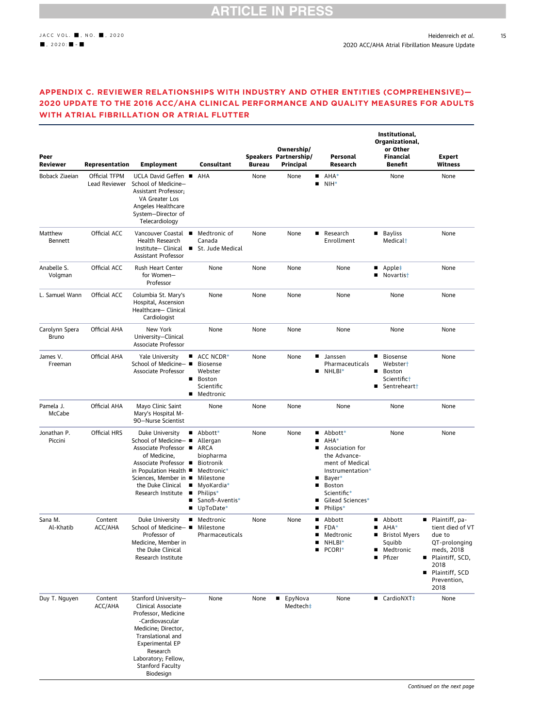## APPENDIX C. REVIEWER RELATIONSHIPS WITH INDUSTRY AND OTHER ENTITIES (COMPREHENSIVE)— 2020 UPDATE TO THE 2016 ACC/AHA CLINICAL PERFORMANCE AND QUALITY MEASURES FOR ADULTS WITH ATRIAL FIBRILLATION OR ATRIAL FLUTTER

| Peer<br>Reviewer               | Representation                 | <b>Employment</b>                                                                                                                                                                                                              | Consultant                                                                                                                                        | <b>Bureau</b> | Ownership/<br>Speakers Partnership/<br>Principal | Personal<br>Research                                                                                                                                                                  | Institutional,<br>Organizational,<br>or Other<br>Financial<br>Benefit                 | <b>Expert</b><br>Witness                                                                                                                          |
|--------------------------------|--------------------------------|--------------------------------------------------------------------------------------------------------------------------------------------------------------------------------------------------------------------------------|---------------------------------------------------------------------------------------------------------------------------------------------------|---------------|--------------------------------------------------|---------------------------------------------------------------------------------------------------------------------------------------------------------------------------------------|---------------------------------------------------------------------------------------|---------------------------------------------------------------------------------------------------------------------------------------------------|
| Boback Ziaeian                 | Official TFPM<br>Lead Reviewer | UCLA David Geffen ■ AHA<br>School of Medicine-<br>Assistant Professor:<br>VA Greater Los<br>Angeles Healthcare<br>System-Director of<br>Telecardiology                                                                         |                                                                                                                                                   | None          | None                                             | $AHA^*$<br>NIH*<br>■                                                                                                                                                                  | None                                                                                  | None                                                                                                                                              |
| Matthew<br>Bennett             | Official ACC                   | Vancouver Coastal<br>Health Research<br>Institute- Clinical ■ St. Jude Medical<br>Assistant Professor                                                                                                                          | $\blacksquare$<br>Medtronic of<br>Canada                                                                                                          | None          | None                                             | Research<br>Enrollment                                                                                                                                                                | ■ Bayliss<br>Medical <sup>+</sup>                                                     | None                                                                                                                                              |
| Anabelle S.<br>Volgman         | Official ACC                   | Rush Heart Center<br>for Women-<br>Professor                                                                                                                                                                                   | None                                                                                                                                              | None          | None                                             | None                                                                                                                                                                                  | п<br>Apple‡<br>Novartist<br>п                                                         | None                                                                                                                                              |
| L. Samuel Wann                 | Official ACC                   | Columbia St. Mary's<br>Hospital, Ascension<br>Healthcare- Clinical<br>Cardiologist                                                                                                                                             | None                                                                                                                                              | None          | None                                             | None                                                                                                                                                                                  | None                                                                                  | None                                                                                                                                              |
| Carolynn Spera<br><b>Bruno</b> | Official AHA                   | New York<br>University-Clinical<br>Associate Professor                                                                                                                                                                         | None                                                                                                                                              | None          | None                                             | None                                                                                                                                                                                  | None                                                                                  | None                                                                                                                                              |
| James V.<br>Freeman            | Official AHA                   | Yale University<br>School of Medicine-<br>Associate Professor                                                                                                                                                                  | $\blacksquare$ ACC NCDR*<br>Biosense<br>Webster<br><b>Boston</b><br>Scientific<br><b>Medtronic</b>                                                | None          | None                                             | <b>Janssen</b><br>Pharmaceuticals<br>NHLBI*                                                                                                                                           | <b>Biosense</b><br>Webstert<br>Boston<br>Scientifict<br>Sentreheart <sup>+</sup><br>п | None                                                                                                                                              |
| Pamela J.<br>McCabe            | Official AHA                   | Mayo Clinic Saint<br>Mary's Hospital M-<br>90-Nurse Scientist                                                                                                                                                                  | None                                                                                                                                              | None          | None                                             | None                                                                                                                                                                                  | None                                                                                  | None                                                                                                                                              |
| Jonathan P.<br>Piccini         | Official HRS                   | Duke University<br>School of Medicine-<br>Associate Professor ■<br>of Medicine,<br>Associate Professor ■ Biotronik<br>in Population Health ■<br>Sciences, Member in ■<br>the Duke Clinical<br>Research Institute ■             | Abbott*<br>п<br>Allergan<br>ARCA<br>biopharma<br>Medtronic*<br>Milestone<br>Е<br>MyoKardia*<br>Philips*<br>Sanofi-Aventis*<br>п<br>UpToDate*<br>п | None          | None                                             | Abbott*<br>п<br>AHA*<br>п<br>Association for<br>п<br>the Advance-<br>ment of Medical<br>Instrumentation*<br>Bayer*<br>п<br>Boston<br>п<br>Scientific*<br>Gilead Sciences*<br>Philips* | None                                                                                  | None                                                                                                                                              |
| Sana M.<br>Al-Khatib           | Content<br>ACC/AHA             | Duke University<br>School of Medicine-<br>Professor of<br>Medicine, Member in<br>the Duke Clinical<br>Research Institute                                                                                                       | Medtronic<br>п<br>Milestone<br>Pharmaceuticals                                                                                                    | None          | None                                             | Abbott<br>■<br>FDA*<br>Medtronic<br>NHLBI*<br>п<br>PCORI*                                                                                                                             | Abbott<br>AHA*<br><b>Bristol Myers</b><br>Squibb<br>Medtronic<br>Pfizer<br>п          | Plaintiff, pa-<br>tient died of VT<br>due to<br>QT-prolonging<br>meds, 2018<br>■ Plaintiff, SCD,<br>2018<br>Plaintiff, SCD<br>Prevention,<br>2018 |
| Duy T. Nguyen                  | Content<br>ACC/AHA             | Stanford University-<br>Clinical Associate<br>Professor, Medicine<br>-Cardiovascular<br>Medicine; Director,<br>Translational and<br>Experimental EP<br>Research<br>Laboratory; Fellow,<br><b>Stanford Faculty</b><br>Biodesign | None                                                                                                                                              | None          | ■ EpyNova<br>Medtech‡                            | None                                                                                                                                                                                  | ■ CardioNXT‡                                                                          | None                                                                                                                                              |

Continued on the next page